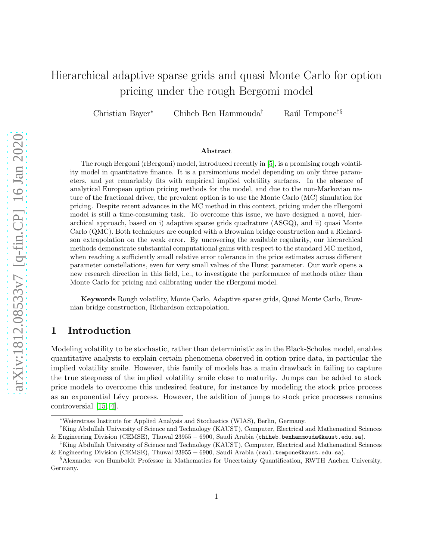# Hierarchical adaptive sparse grids and quasi Monte Carlo for option pricing under the rough Bergomi model

Christian Bayer<sup>∗</sup> Chiheb Ben Hammouda<sup>†</sup> Raúl Tempone<sup>‡§</sup>

#### Abstract

The rough Bergomi (rBergomi) model, introduced recently in [\[5\]](#page-21-0), is a promising rough volatility model in quantitative finance. It is a parsimonious model depending on only three parameters, and yet remarkably fits with empirical implied volatility surfaces. In the absence of analytical European option pricing methods for the model, and due to the non-Markovian nature of the fractional driver, the prevalent option is to use the Monte Carlo (MC) simulation for pricing. Despite recent advances in the MC method in this context, pricing under the rBergomi model is still a time-consuming task. To overcome this issue, we have designed a novel, hierarchical approach, based on i) adaptive sparse grids quadrature (ASGQ), and ii) quasi Monte Carlo (QMC). Both techniques are coupled with a Brownian bridge construction and a Richardson extrapolation on the weak error. By uncovering the available regularity, our hierarchical methods demonstrate substantial computational gains with respect to the standard MC method, when reaching a sufficiently small relative error tolerance in the price estimates across different parameter constellations, even for very small values of the Hurst parameter. Our work opens a new research direction in this field, i.e., to investigate the performance of methods other than Monte Carlo for pricing and calibrating under the rBergomi model.

Keywords Rough volatility, Monte Carlo, Adaptive sparse grids, Quasi Monte Carlo, Brownian bridge construction, Richardson extrapolation.

# 1 Introduction

Modeling volatility to be stochastic, rather than deterministic as in the Black-Scholes model, enables quantitative analysts to explain certain phenomena observed in option price data, in particular the implied volatility smile. However, this family of models has a main drawback in failing to capture the true steepness of the implied volatility smile close to maturity. Jumps can be added to stock price models to overcome this undesired feature, for instance by modeling the stock price process as an exponential Lévy process. However, the addition of jumps to stock price processes remains controversial [\[15,](#page-22-0) [4\]](#page-21-1).

<sup>∗</sup>Weierstrass Institute for Applied Analysis and Stochastics (WIAS), Berlin, Germany.

<sup>†</sup>King Abdullah University of Science and Technology (KAUST), Computer, Electrical and Mathematical Sciences & Engineering Division (CEMSE), Thuwal 23955 − 6900, Saudi Arabia (chiheb.benhammouda@kaust.edu.sa).

<sup>‡</sup>King Abdullah University of Science and Technology (KAUST), Computer, Electrical and Mathematical Sciences & Engineering Division (CEMSE), Thuwal 23955 − 6900, Saudi Arabia (raul.tempone@kaust.edu.sa).

<sup>§</sup>Alexander von Humboldt Professor in Mathematics for Uncertainty Quantification, RWTH Aachen University, Germany.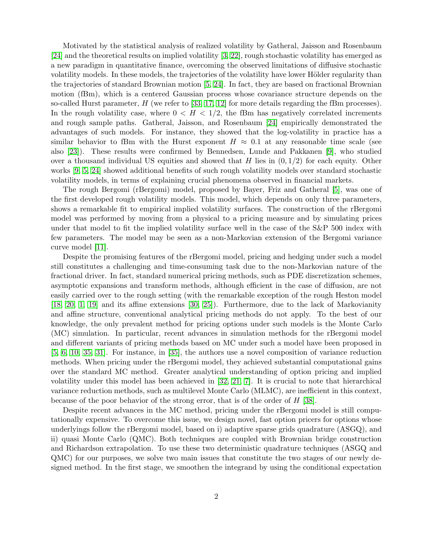Motivated by the statistical analysis of realized volatility by Gatheral, Jaisson and Rosenbaum [\[24\]](#page-22-1) and the theoretical results on implied volatility [\[3,](#page-21-2) [22\]](#page-22-2), rough stochastic volatility has emerged as a new paradigm in quantitative finance, overcoming the observed limitations of diffusive stochastic volatility models. In these models, the trajectories of the volatility have lower Hölder regularity than the trajectories of standard Brownian motion [\[5,](#page-21-0) [24\]](#page-22-1). In fact, they are based on fractional Brownian motion (fBm), which is a centered Gaussian process whose covariance structure depends on the so-called Hurst parameter, H (we refer to [\[33,](#page-23-0) [17,](#page-22-3) [12\]](#page-22-4) for more details regarding the fBm processes). In the rough volatility case, where  $0 < H < 1/2$ , the fBm has negatively correlated increments and rough sample paths. Gatheral, Jaisson, and Rosenbaum [\[24\]](#page-22-1) empirically demonstrated the advantages of such models. For instance, they showed that the log-volatility in practice has a similar behavior to fBm with the Hurst exponent  $H \approx 0.1$  at any reasonable time scale (see also [\[23\]](#page-22-5)). These results were confirmed by Bennedsen, Lunde and Pakkanen [\[9\]](#page-22-6), who studied over a thousand individual US equities and showed that H lies in  $(0, 1/2)$  for each equity. Other works [\[9,](#page-22-6) [5,](#page-21-0) [24\]](#page-22-1) showed additional benefits of such rough volatility models over standard stochastic volatility models, in terms of explaining crucial phenomena observed in financial markets.

The rough Bergomi (rBergomi) model, proposed by Bayer, Friz and Gatheral [\[5\]](#page-21-0), was one of the first developed rough volatility models. This model, which depends on only three parameters, shows a remarkable fit to empirical implied volatility surfaces. The construction of the rBergomi model was performed by moving from a physical to a pricing measure and by simulating prices under that model to fit the implied volatility surface well in the case of the S&P 500 index with few parameters. The model may be seen as a non-Markovian extension of the Bergomi variance curve model [\[11\]](#page-22-7).

Despite the promising features of the rBergomi model, pricing and hedging under such a model still constitutes a challenging and time-consuming task due to the non-Markovian nature of the fractional driver. In fact, standard numerical pricing methods, such as PDE discretization schemes, asymptotic expansions and transform methods, although efficient in the case of diffusion, are not easily carried over to the rough setting (with the remarkable exception of the rough Heston model [\[18,](#page-22-8) [20,](#page-22-9) [1,](#page-21-3) [19\]](#page-22-10) and its affine extensions [\[30,](#page-23-1) [25\]](#page-22-11)). Furthermore, due to the lack of Markovianity and affine structure, conventional analytical pricing methods do not apply. To the best of our knowledge, the only prevalent method for pricing options under such models is the Monte Carlo (MC) simulation. In particular, recent advances in simulation methods for the rBergomi model and different variants of pricing methods based on MC under such a model have been proposed in [\[5,](#page-21-0) [6,](#page-21-4) [10,](#page-22-12) [35,](#page-23-2) [31\]](#page-23-3). For instance, in [\[35\]](#page-23-2), the authors use a novel composition of variance reduction methods. When pricing under the rBergomi model, they achieved substantial computational gains over the standard MC method. Greater analytical understanding of option pricing and implied volatility under this model has been achieved in [\[32,](#page-23-4) [21,](#page-22-13) [7\]](#page-21-5). It is crucial to note that hierarchical variance reduction methods, such as multilevel Monte Carlo (MLMC), are inefficient in this context, because of the poor behavior of the strong error, that is of the order of H [\[38\]](#page-23-5).

Despite recent advances in the MC method, pricing under the rBergomi model is still computationally expensive. To overcome this issue, we design novel, fast option pricers for options whose underlyings follow the rBergomi model, based on i) adaptive sparse grids quadrature (ASGQ), and ii) quasi Monte Carlo (QMC). Both techniques are coupled with Brownian bridge construction and Richardson extrapolation. To use these two deterministic quadrature techniques (ASGQ and QMC) for our purposes, we solve two main issues that constitute the two stages of our newly designed method. In the first stage, we smoothen the integrand by using the conditional expectation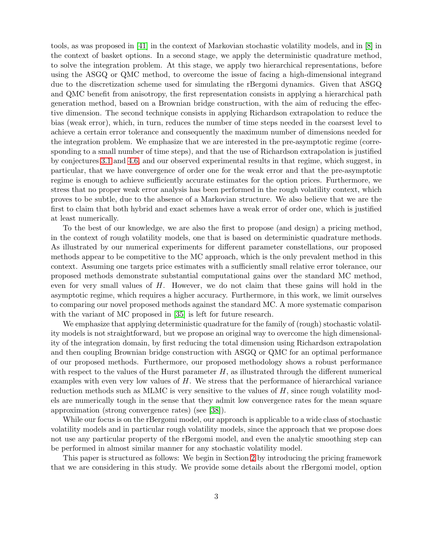tools, as was proposed in [\[41\]](#page-23-6) in the context of Markovian stochastic volatility models, and in [\[8\]](#page-21-6) in the context of basket options. In a second stage, we apply the deterministic quadrature method, to solve the integration problem. At this stage, we apply two hierarchical representations, before using the ASGQ or QMC method, to overcome the issue of facing a high-dimensional integrand due to the discretization scheme used for simulating the rBergomi dynamics. Given that ASGQ and QMC benefit from anisotropy, the first representation consists in applying a hierarchical path generation method, based on a Brownian bridge construction, with the aim of reducing the effective dimension. The second technique consists in applying Richardson extrapolation to reduce the bias (weak error), which, in turn, reduces the number of time steps needed in the coarsest level to achieve a certain error tolerance and consequently the maximum number of dimensions needed for the integration problem. We emphasize that we are interested in the pre-asymptotic regime (corresponding to a small number of time steps), and that the use of Richardson extrapolation is justified by conjectures [3.1](#page-7-0) and [4.6,](#page-14-0) and our observed experimental results in that regime, which suggest, in particular, that we have convergence of order one for the weak error and that the pre-asymptotic regime is enough to achieve sufficiently accurate estimates for the option prices. Furthermore, we stress that no proper weak error analysis has been performed in the rough volatility context, which proves to be subtle, due to the absence of a Markovian structure. We also believe that we are the first to claim that both hybrid and exact schemes have a weak error of order one, which is justified at least numerically.

To the best of our knowledge, we are also the first to propose (and design) a pricing method, in the context of rough volatility models, one that is based on deterministic quadrature methods. As illustrated by our numerical experiments for different parameter constellations, our proposed methods appear to be competitive to the MC approach, which is the only prevalent method in this context. Assuming one targets price estimates with a sufficiently small relative error tolerance, our proposed methods demonstrate substantial computational gains over the standard MC method, even for very small values of H. However, we do not claim that these gains will hold in the asymptotic regime, which requires a higher accuracy. Furthermore, in this work, we limit ourselves to comparing our novel proposed methods against the standard MC. A more systematic comparison with the variant of MC proposed in [\[35\]](#page-23-2) is left for future research.

We emphasize that applying deterministic quadrature for the family of (rough) stochastic volatility models is not straightforward, but we propose an original way to overcome the high dimensionality of the integration domain, by first reducing the total dimension using Richardson extrapolation and then coupling Brownian bridge construction with ASGQ or QMC for an optimal performance of our proposed methods. Furthermore, our proposed methodology shows a robust performance with respect to the values of the Hurst parameter  $H$ , as illustrated through the different numerical examples with even very low values of  $H$ . We stress that the performance of hierarchical variance reduction methods such as MLMC is very sensitive to the values of  $H$ , since rough volatility models are numerically tough in the sense that they admit low convergence rates for the mean square approximation (strong convergence rates) (see [\[38\]](#page-23-5)).

While our focus is on the rBergomi model, our approach is applicable to a wide class of stochastic volatility models and in particular rough volatility models, since the approach that we propose does not use any particular property of the rBergomi model, and even the analytic smoothing step can be performed in almost similar manner for any stochastic volatility model.

This paper is structured as follows: We begin in Section [2](#page-3-0) by introducing the pricing framework that we are considering in this study. We provide some details about the rBergomi model, option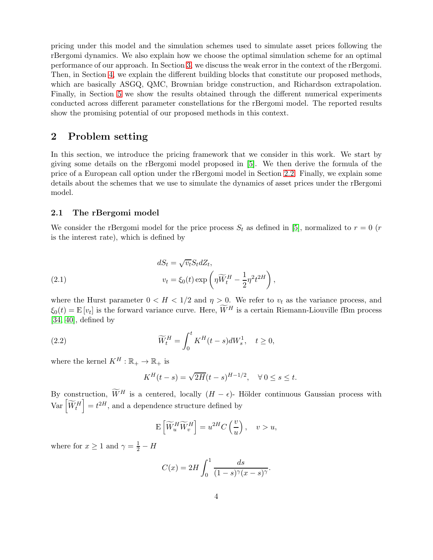pricing under this model and the simulation schemes used to simulate asset prices following the rBergomi dynamics. We also explain how we choose the optimal simulation scheme for an optimal performance of our approach. In Section [3,](#page-7-1) we discuss the weak error in the context of the rBergomi. Then, in Section [4,](#page-8-0) we explain the different building blocks that constitute our proposed methods, which are basically ASGQ, QMC, Brownian bridge construction, and Richardson extrapolation. Finally, in Section [5](#page-14-1) we show the results obtained through the different numerical experiments conducted across different parameter constellations for the rBergomi model. The reported results show the promising potential of our proposed methods in this context.

# <span id="page-3-0"></span>2 Problem setting

In this section, we introduce the pricing framework that we consider in this work. We start by giving some details on the rBergomi model proposed in [\[5\]](#page-21-0). We then derive the formula of the price of a European call option under the rBergomi model in Section [2.2.](#page-4-0) Finally, we explain some details about the schemes that we use to simulate the dynamics of asset prices under the rBergomi model.

### 2.1 The rBergomi model

We consider the rBergomi model for the price process  $S_t$  as defined in [\[5\]](#page-21-0), normalized to  $r = 0$  (r is the interest rate), which is defined by

<span id="page-3-1"></span>(2.1) 
$$
dS_t = \sqrt{v_t} S_t dZ_t,
$$

$$
v_t = \xi_0(t) \exp\left(\eta \widetilde{W}_t^H - \frac{1}{2} \eta^2 t^{2H}\right),
$$

where the Hurst parameter  $0 < H < 1/2$  and  $\eta > 0$ . We refer to  $v_t$  as the variance process, and  $\xi_0(t) = \mathbf{E}[v_t]$  is the forward variance curve. Here,  $\overline{W}^H$  is a certain Riemann-Liouville fBm process  $[34, 40]$  $[34, 40]$ , defined by

<span id="page-3-2"></span>(2.2) 
$$
\widetilde{W}_t^H = \int_0^t K^H(t-s)dW_s^1, \quad t \ge 0,
$$

where the kernel  $K^H : \mathbb{R}_+ \to \mathbb{R}_+$  is

$$
K^{H}(t - s) = \sqrt{2H}(t - s)^{H-1/2}, \quad \forall \, 0 \le s \le t.
$$

By construction,  $\widetilde{W}^H$  is a centered, locally  $(H - \epsilon)$ - Hölder continuous Gaussian process with  $Var\left[\widetilde{W}_{t}^{H}\right]$  $\vert t \vert = t^{2H}$ , and a dependence structure defined by

$$
\mathbf{E}\left[\widetilde{W}_u^H \widetilde{W}_v^H\right] = u^{2H} C\left(\frac{v}{u}\right), \quad v > u,
$$

where for  $x \ge 1$  and  $\gamma = \frac{1}{2} - H$ 

$$
C(x) = 2H \int_0^1 \frac{ds}{(1-s)^{\gamma}(x-s)^{\gamma}}.
$$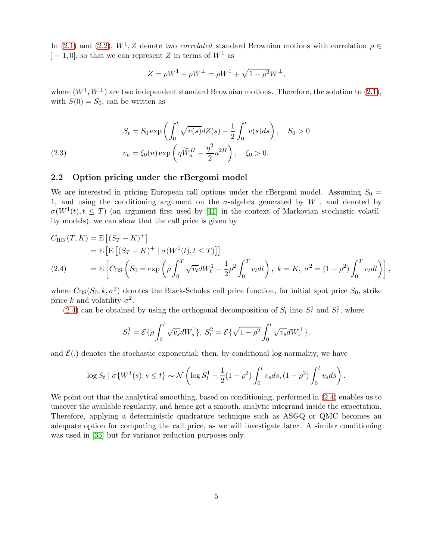In [\(2.1\)](#page-3-1) and [\(2.2\)](#page-3-2),  $W^1$ , Z denote two *correlated* standard Brownian motions with correlation  $\rho \in$  $|-1, 0|$ , so that we can represent Z in terms of  $W<sup>1</sup>$  as

$$
Z = \rho W^1 + \overline{\rho} W^\perp = \rho W^1 + \sqrt{1 - \rho^2} W^\perp,
$$

where  $(W^1, W^{\perp})$  are two independent standard Brownian motions. Therefore, the solution to  $(2.1)$ , with  $S(0) = S_0$ , can be written as

(2.3) 
$$
S_t = S_0 \exp\left(\int_0^t \sqrt{v(s)} dZ(s) - \frac{1}{2} \int_0^t v(s) ds\right), \quad S_0 > 0
$$

$$
v_u = \xi_0(u) \exp\left(\eta \widetilde{W}_u^H - \frac{\eta^2}{2} u^{2H}\right), \quad \xi_0 > 0.
$$

### <span id="page-4-0"></span>2.2 Option pricing under the rBergomi model

We are interested in pricing European call options under the rBergomi model. Assuming  $S_0 =$ 1, and using the conditioning argument on the  $\sigma$ -algebra generated by  $W^1$ , and denoted by  $\sigma(W^1(t), t \leq T)$  (an argument first used by [\[41\]](#page-23-6) in the context of Markovian stochastic volatility models), we can show that the call price is given by

$$
C_{RB} (T, K) = E [(S_T - K)^+] = E [E [(S_T - K)^+] \sigma (W^1(t), t \le T)] = E [C_{BS} (S_0 = \exp \left( \rho \int_0^T \sqrt{v_t} dW_t^1 - \frac{1}{2} \rho^2 \int_0^T v_t dt \right), k = K, \sigma^2 = (1 - \rho^2) \int_0^T v_t dt \Big) ,
$$

<span id="page-4-1"></span>where  $C_{\text{BS}}(S_0, k, \sigma^2)$  denotes the Black-Scholes call price function, for initial spot price  $S_0$ , strike price k and volatility  $\sigma^2$ .

[\(2.4\)](#page-4-1) can be obtained by using the orthogonal decomposition of  $S_t$  into  $S_t^1$  and  $S_t^2$ , where

$$
S_t^1 = \mathcal{E}\{\rho \int_0^t \sqrt{v_s} dW_s^1\}, \ S_t^2 = \mathcal{E}\{\sqrt{1-\rho^2} \int_0^t \sqrt{v_s} dW_s^{\perp}\},
$$

and  $\mathcal{E}(.)$  denotes the stochastic exponential; then, by conditional log-normality, we have

$$
\log S_t | \sigma \{ W^1(s), s \le t \} \sim \mathcal{N} \left( \log S_t^1 - \frac{1}{2} (1 - \rho^2) \int_0^t v_s ds, (1 - \rho^2) \int_0^t v_s ds \right).
$$

We point out that the analytical smoothing, based on conditioning, performed in  $(2.4)$  enables us to uncover the available regularity, and hence get a smooth, analytic integrand inside the expectation. Therefore, applying a deterministic quadrature technique such as ASGQ or QMC becomes an adequate option for computing the call price, as we will investigate later. A similar conditioning was used in [\[35\]](#page-23-2) but for variance reduction purposes only.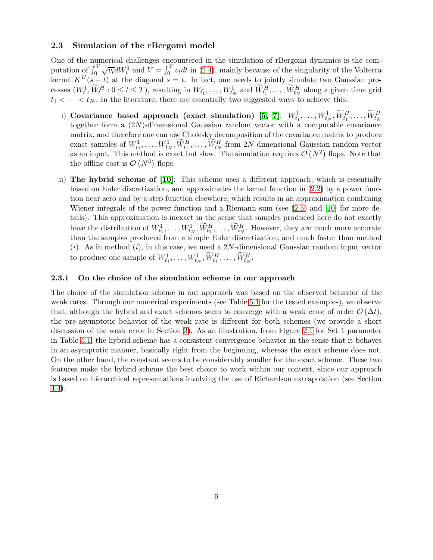### 2.3 Simulation of the rBergomi model

One of the numerical challenges encountered in the simulation of rBergomi dynamics is the computation of  $\int_0^T \sqrt{v_t} dW_t^1$  and  $\tilde{V} = \int_0^T v_t dt$  in [\(2.4\)](#page-4-1), mainly because of the singularity of the Volterra kernel  $K^H(s-t)$  at the diagonal  $s = t$ . In fact, one needs to jointly simulate two Gaussian processes  $(W_t^1, \tilde{W}_t^H : 0 \le t \le T)$ , resulting in  $W_{t_1}^1, \ldots, W_{t_N}^1$  and  $\tilde{W}_{t_1}^H, \ldots, \tilde{W}_{t_N}^H$  along a given time grid  $t_1 < \cdots < t_N$ . In the literature, there are essentially two suggested ways to achieve this:

- i) Covariance based approach (exact simulation)  $[5, 7]$  $[5, 7]$ :  $W^1_{t_1}, \ldots, W^1_{t_N}, \widetilde{W}^H_{t_1}, \ldots, \widetilde{W}^H_{t_N}$ together form a (2N)-dimensional Gaussian random vector with a computable covariance matrix, and therefore one can use Cholesky decomposition of the covariance matrix to produce exact samples of  $W_{t_1}^1, \ldots, W_{t_N}^1, \overline{W_{t_1}^H}, \ldots, \overline{W_{t_N}^H}$  from 2N-dimensional Gaussian random vector as an input. This method is exact but slow. The simulation requires  $\mathcal{O}(N^2)$  flops. Note that the offline cost is  $\mathcal{O}(N^3)$  flops.
- ii) The hybrid scheme of [\[10\]](#page-22-12): This scheme uses a different approach, which is essentially based on Euler discretization, and approximates the kernel function in [\(2.2\)](#page-3-2) by a power function near zero and by a step function elsewhere, which results in an approximation combining Wiener integrals of the power function and a Riemann sum (see [\(2.5\)](#page-6-0) and [\[10\]](#page-22-12) for more details). This approximation is inexact in the sense that samples produced here do not exactly have the distribution of  $W_{t_1}^1, \ldots, W_{t_N}^1, \overline{W_{t_1}^H}, \ldots, \overline{W_{t_N}^H}$ . However, they are much more accurate than the samples produced from a simple Euler discretization, and much faster than method  $(i)$ . As in method  $(i)$ , in this case, we need a 2N-dimensional Gaussian random input vector to produce one sample of  $W_{t_1}^1, \ldots, W_{t_N}^1, \widetilde{W}_{t_1}^H, \ldots, \widetilde{W}_{t_N}^H$ .

### <span id="page-5-0"></span>2.3.1 On the choice of the simulation scheme in our approach

The choice of the simulation scheme in our approach was based on the observed behavior of the weak rates. Through our numerical experiments (see Table [5.1](#page-15-0) for the tested examples), we observe that, although the hybrid and exact schemes seem to converge with a weak error of order  $\mathcal{O}(\Delta t)$ , the pre-asymptotic behavior of the weak rate is different for both schemes (we provide a short discussion of the weak error in Section [3\)](#page-7-1). As an illustration, from Figure [2.1](#page-6-1) for Set 1 parameter in Table [5.1,](#page-15-0) the hybrid scheme has a consistent convergence behavior in the sense that it behaves in an asymptotic manner, basically right from the beginning, whereas the exact scheme does not. On the other hand, the constant seems to be considerably smaller for the exact scheme. These two features make the hybrid scheme the best choice to work within our context, since our approach is based on hierarchical representations involving the use of Richardson extrapolation (see Section [4.4\)](#page-13-0).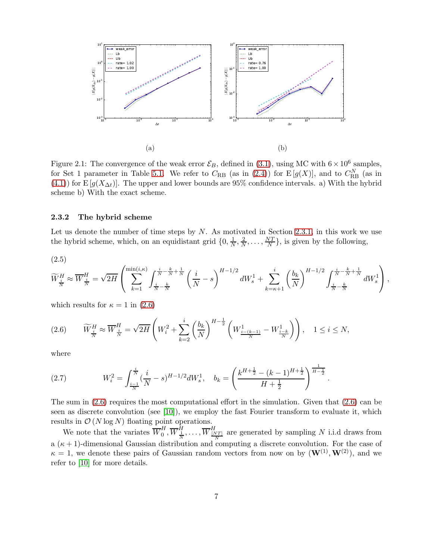<span id="page-6-1"></span>

Figure 2.1: The convergence of the weak error  $\mathcal{E}_B$ , defined in [\(3.1\)](#page-7-2), using MC with  $6 \times 10^6$  samples, for Set 1 parameter in Table [5.1.](#page-15-0) We refer to  $C_{RB}$  (as in [\(2.4\)](#page-4-1)) for  $E[g(X)]$ , and to  $C_{RB}^N$  (as in [\(4.1\)](#page-8-1)) for E  $[g(X_{\Delta t})]$ . The upper and lower bounds are 95% confidence intervals. a) With the hybrid scheme b) With the exact scheme.

### <span id="page-6-3"></span>2.3.2 The hybrid scheme

Let us denote the number of time steps by  $N$ . As motivated in Section [2.3.1,](#page-5-0) in this work we use the hybrid scheme, which, on an equidistant grid  $\{0, \frac{1}{N}\}$  $\frac{1}{N}, \frac{2}{N}$  $\frac{2}{N}, \ldots, \frac{NT}{N}$  $\frac{V}{N}$ , is given by the following,

<span id="page-6-0"></span>(2.5)

$$
\widetilde{W}^H_{\frac{i}{N}}\approx \overline{W}^H_{\frac{i}{N}}=\sqrt{2H}\left(\sum_{k=1}^{\min(i,\kappa)}\int_{\frac{i}{N}-\frac{k}{N}}^{\frac{i}{N}-\frac{k}{N}+\frac{1}{N}}\left(\frac{i}{N}-s\right)^{H-1/2}dW^1_s+\sum_{k=\kappa+1}^i\left(\frac{b_k}{N}\right)^{H-1/2}\int_{\frac{i}{N}-\frac{k}{N}}^{\frac{i}{N}-\frac{k}{N}+\frac{1}{N}}dW^1_s\right),
$$

which results for  $\kappa = 1$  in [\(2.6\)](#page-6-2)

<span id="page-6-2"></span>
$$
(2.6) \qquad \widetilde{W}_{\frac{i}{N}}^H \approx \overline{W}_{\frac{i}{N}}^H = \sqrt{2H} \left( W_i^2 + \sum_{k=2}^i \left( \frac{b_k}{N} \right)^{H - \frac{1}{2}} \left( W_{\frac{i - (k-1)}{N}}^1 - W_{\frac{i - k}{N}}^1 \right) \right), \quad 1 \le i \le N,
$$

where

(2.7) 
$$
W_i^2 = \int_{\frac{i-1}{N}}^{\frac{i}{N}} (\frac{i}{N} - s)^{H-1/2} dW_s^1, \quad b_k = \left(\frac{k^{H+\frac{1}{2}} - (k-1)^{H+\frac{1}{2}}}{H+\frac{1}{2}}\right)^{\frac{1}{H-\frac{1}{2}}}.
$$

The sum in [\(2.6\)](#page-6-2) requires the most computational effort in the simulation. Given that [\(2.6\)](#page-6-2) can be seen as discrete convolution (see [\[10\]](#page-22-12)), we employ the fast Fourier transform to evaluate it, which results in  $\mathcal{O}(N \log N)$  floating point operations.

We note that the variates  $\overline{W}_0^H$  $\overline{W}_{0}^{H}, \overline{W}_{\frac{N}{N}}^{H}, \ldots, \overline{W}_{\frac{N}{N}}^{H}$  are generated by sampling N i.i.d draws from a  $(\kappa + 1)$ -dimensional Gaussian distribution and computing a discrete convolution. For the case of  $\kappa = 1$ , we denote these pairs of Gaussian random vectors from now on by  $(\mathbf{W}^{(1)}, \mathbf{W}^{(2)})$ , and we refer to [\[10\]](#page-22-12) for more details.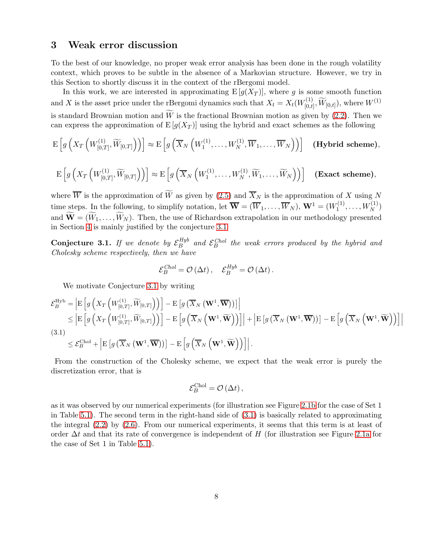# <span id="page-7-1"></span>3 Weak error discussion

To the best of our knowledge, no proper weak error analysis has been done in the rough volatility context, which proves to be subtle in the absence of a Markovian structure. However, we try in this Section to shortly discuss it in the context of the rBergomi model.

In this work, we are interested in approximating  $E[g(X_T)]$ , where g is some smooth function and X is the asset price under the rBergomi dynamics such that  $X_t = X_t(W_{[0,t)}^{(1)})$  $\widetilde{W}^{(1)}_{[0,t]}, \widetilde{W}_{[0,t]}), \text{ where } W^{(1)}$ is standard Brownian motion and  $\widetilde{W}$  is the fractional Brownian motion as given by [\(2.2\)](#page-3-2). Then we can express the approximation of  $E[g(X_T)]$  using the hybrid and exact schemes as the following

$$
\mathrm{E}\left[g\left(X_T\left(W_{[0,T]}^{(1)},\widetilde{W}_{[0,T]}\right)\right)\right]\approx \mathrm{E}\left[g\left(\overline{X}_N\left(W_1^{(1)},\ldots,W_N^{(1)},\overline{W}_1,\ldots,\overline{W}_N\right)\right)\right]
$$
(Hybrid scheme),

$$
\mathrm{E}\left[g\left(X_T\left(W_{[0,T]}^{(1)},\widetilde{W}_{[0,T]}\right)\right)\right]\approx \mathrm{E}\left[g\left(\overline{X}_N\left(W_1^{(1)},\ldots,W_N^{(1)},\widetilde{W}_1,\ldots,\widetilde{W}_N\right)\right)\right]
$$
(\mathbf{Exact scheme}),

where  $\overline{W}$  is the approximation of  $\widetilde{W}$  as given by [\(2.5\)](#page-6-0) and  $\overline{X}_N$  is the approximation of X using N time steps. In the following, to simplify notation, let  $\overline{\mathbf{W}} = (\overline{W}_1, \dots, \overline{W}_N)$ ,  $\mathbf{W}^1 = (W_1^{(1)}$  $W_1^{(1)}, \ldots, W_N^{(1)}$ and  $\widetilde{\mathbf{W}} = (\widetilde{W}_1, \ldots, \widetilde{W}_N)$ . Then, the use of Richardson extrapolation in our methodology presented in Section [4](#page-8-0) is mainly justified by the conjecture [3.1.](#page-7-0)

<span id="page-7-0"></span>**Conjecture 3.1.** If we denote by  $\mathcal{E}_B^{Hyb}$  $B_B^{Hyb}$  and  $\mathcal{E}_B^{Chol}$  the weak errors produced by the hybrid and Cholesky scheme respectively, then we have

$$
\mathcal{E}_B^{Chol} = \mathcal{O}\left(\Delta t\right), \quad \mathcal{E}_B^{Hyb} = \mathcal{O}\left(\Delta t\right).
$$

We motivate Conjecture [3.1](#page-7-0) by writing

<span id="page-7-2"></span>
$$
\mathcal{E}_{B}^{\text{Hyb}} = \left| \mathbb{E} \left[ g \left( X_{T} \left( W_{[0,T]}^{(1)}, \widetilde{W}_{[0,T]} \right) \right) \right] - \mathbb{E} \left[ g \left( \overline{X}_{N} \left( \mathbf{W}^{1}, \overline{\mathbf{W}} \right) \right) \right] \right|
$$
\n
$$
\leq \left| \mathbb{E} \left[ g \left( X_{T} \left( W_{[0,T]}^{(1)}, \widetilde{W}_{[0,T]} \right) \right) \right] - \mathbb{E} \left[ g \left( \overline{X}_{N} \left( \mathbf{W}^{1}, \widetilde{\mathbf{W}} \right) \right) \right] \right| + \left| \mathbb{E} \left[ g \left( \overline{X}_{N} \left( \mathbf{W}^{1}, \overline{\mathbf{W}} \right) \right) \right] - \mathbb{E} \left[ g \left( \overline{X}_{N} \left( \mathbf{W}^{1}, \overline{\mathbf{W}} \right) \right) \right] \right|
$$
\n(3.1)\n
$$
\leq \mathcal{E}_{B}^{\text{Chol}} + \left| \mathbb{E} \left[ g \left( \overline{X}_{N} \left( \mathbf{W}^{1}, \overline{\mathbf{W}} \right) \right) \right] - \mathbb{E} \left[ g \left( \overline{X}_{N} \left( \mathbf{W}^{1}, \widetilde{\mathbf{W}} \right) \right) \right] \right|.
$$

From the construction of the Cholesky scheme, we expect that the weak error is purely the discretization error, that is

$$
\mathcal{E}_B^{\text{Chol}} = \mathcal{O}\left(\Delta t\right),\,
$$

as it was observed by our numerical experiments (for illustration see Figure [2.1b](#page-6-1) for the case of Set 1 in Table [5.1\)](#page-15-0). The second term in the right-hand side of [\(3.1\)](#page-7-2) is basically related to approximating the integral [\(2.2\)](#page-3-2) by [\(2.6\)](#page-6-2). From our numerical experiments, it seems that this term is at least of order  $\Delta t$  and that its rate of convergence is independent of H (for illustration see Figure [2.1a](#page-6-1) for the case of Set 1 in Table [5.1\)](#page-15-0).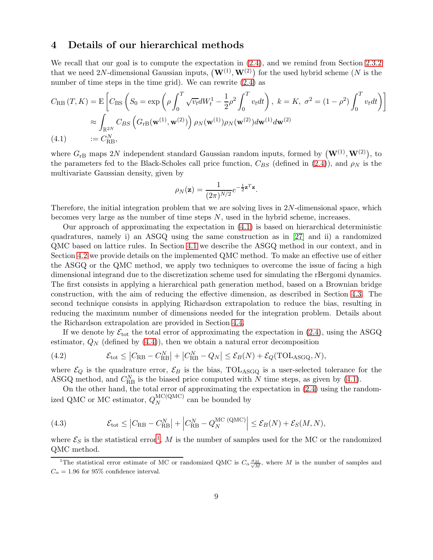# <span id="page-8-0"></span>4 Details of our hierarchical methods

We recall that our goal is to compute the expectation in  $(2.4)$ , and we remind from Section [2.3.2](#page-6-3) that we need 2N-dimensional Gaussian inputs,  $(\mathbf{W}^{(1)}, \mathbf{W}^{(2)})$  for the used hybrid scheme (N is the number of time steps in the time grid). We can rewrite  $(2.4)$  as

$$
C_{\text{RB}}(T, K) = \mathcal{E}\left[C_{\text{BS}}\left(S_0 = \exp\left(\rho \int_0^T \sqrt{v_t} dW_t^1 - \frac{1}{2}\rho^2 \int_0^T v_t dt\right), k = K, \sigma^2 = (1 - \rho^2) \int_0^T v_t dt\right)\right]
$$
  
\n
$$
\approx \int_{\mathbb{R}^{2N}} C_{BS}\left(G_{\text{rB}}(\mathbf{w}^{(1)}, \mathbf{w}^{(2)})\right) \rho_N(\mathbf{w}^{(1)}) \rho_N(\mathbf{w}^{(2)}) d\mathbf{w}^{(1)} d\mathbf{w}^{(2)}
$$
  
\n(4.1) :=  $C_{\text{RB}}^N$ ,

<span id="page-8-1"></span>where  $G_{\rm rB}$  maps 2N independent standard Gaussian random inputs, formed by  $(\mathbf{W}^{(1)}, \mathbf{W}^{(2)})$ , to the parameters fed to the Black-Scholes call price function,  $C_{BS}$  (defined in [\(2.4\)](#page-4-1)), and  $\rho_N$  is the multivariate Gaussian density, given by

$$
\rho_N(\mathbf{z}) = \frac{1}{(2\pi)^{N/2}} e^{-\frac{1}{2}\mathbf{z}^T \mathbf{z}}.
$$

Therefore, the initial integration problem that we are solving lives in  $2N$ -dimensional space, which becomes very large as the number of time steps  $N$ , used in the hybrid scheme, increases.

Our approach of approximating the expectation in [\(4.1\)](#page-8-1) is based on hierarchical deterministic quadratures, namely i) an ASGQ using the same construction as in [\[27\]](#page-23-9) and ii) a randomized QMC based on lattice rules. In Section [4.1](#page-9-0) we describe the ASGQ method in our context, and in Section [4.2](#page-12-0) we provide details on the implemented QMC method. To make an effective use of either the ASGQ or the QMC method, we apply two techniques to overcome the issue of facing a high dimensional integrand due to the discretization scheme used for simulating the rBergomi dynamics. The first consists in applying a hierarchical path generation method, based on a Brownian bridge construction, with the aim of reducing the effective dimension, as described in Section [4.3.](#page-13-1) The second technique consists in applying Richardson extrapolation to reduce the bias, resulting in reducing the maximum number of dimensions needed for the integration problem. Details about the Richardson extrapolation are provided in Section [4.4.](#page-13-0)

If we denote by  $\mathcal{E}_{\text{tot}}$  the total error of approximating the expectation in [\(2.4\)](#page-4-1), using the ASGQ estimator,  $Q_N$  (defined by  $(4.4)$ ), then we obtain a natural error decomposition

<span id="page-8-3"></span>(4.2) 
$$
\mathcal{E}_{\text{tot}} \leq |C_{\text{RB}} - C_{\text{RB}}^N| + |C_{\text{RB}}^N - Q_N| \leq \mathcal{E}_B(N) + \mathcal{E}_Q(\text{TOL}_{\text{ASGQ}}, N),
$$

where  $\mathcal{E}_Q$  is the quadrature error,  $\mathcal{E}_B$  is the bias, TOL<sub>ASGQ</sub> is a user-selected tolerance for the ASGQ method, and  $C_{RB}^{N}$  is the biased price computed with N time steps, as given by [\(4.1\)](#page-8-1).

On the other hand, the total error of approximating the expectation in [\(2.4\)](#page-4-1) using the randomized QMC or MC estimator,  $Q_N^{\text{MC(QMC)}}$  $N^{MC(QMC)}$  can be bounded by

(4.3) 
$$
\mathcal{E}_{\text{tot}} \leq \left| C_{\text{RB}} - C_{\text{RB}}^{N} \right| + \left| C_{\text{RB}}^{N} - Q_{N}^{\text{MC}} \left( \text{QMC} \right) \right| \leq \mathcal{E}_{B}(N) + \mathcal{E}_{S}(M, N),
$$

where  $\mathcal{E}_S$  is the statistical error<sup>[1](#page-8-2)</sup>, M is the number of samples used for the MC or the randomized QMC method.

<span id="page-8-2"></span><sup>&</sup>lt;sup>1</sup>The statistical error estimate of MC or randomized QMC is  $C_{\alpha} \frac{\sigma_M}{\sqrt{M}}$  $\frac{M}{M}$ , where M is the number of samples and  $C_{\alpha} = 1.96$  for 95% confidence interval.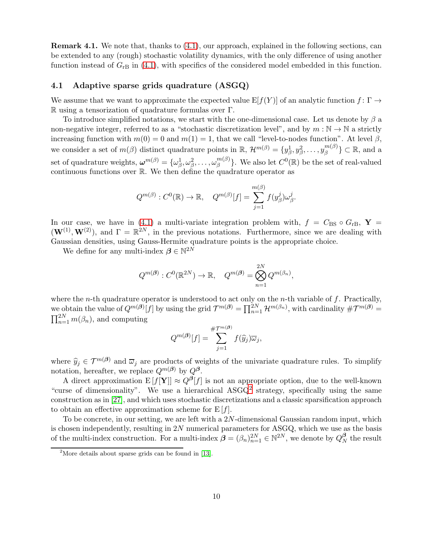Remark 4.1. We note that, thanks to [\(4.1\)](#page-8-1), our approach, explained in the following sections, can be extended to any (rough) stochastic volatility dynamics, with the only difference of using another function instead of  $G<sub>rB</sub>$  in [\(4.1\)](#page-8-1), with specifics of the considered model embedded in this function.

### <span id="page-9-0"></span>4.1 Adaptive sparse grids quadrature (ASGQ)

We assume that we want to approximate the expected value  $E[f(Y)]$  of an analytic function  $f: \Gamma \to$ R using a tensorization of quadrature formulas over Γ.

To introduce simplified notations, we start with the one-dimensional case. Let us denote by  $\beta$  a non-negative integer, referred to as a "stochastic discretization level", and by  $m : \mathbb{N} \to \mathbb{N}$  a strictly increasing function with  $m(0) = 0$  and  $m(1) = 1$ , that we call "level-to-nodes function". At level  $\beta$ , we consider a set of  $m(\beta)$  distinct quadrature points in  $\mathbb{R}$ ,  $\mathcal{H}^{m(\beta)} = \{y_{\beta}^1, y_{\beta}^2, \dots, y_{\beta}^{m(\beta)}\}$  ${m(\beta) \atop \beta} \subset \mathbb{R}$ , and a set of quadrature weights,  $\boldsymbol{\omega}^{m(\beta)} = \{\omega_\beta^1, \omega_\beta^2, \dots, \omega_\beta^{m(\beta)}\}$  ${m(\beta) \choose \beta}$ . We also let  $C^0(\mathbb{R})$  be the set of real-valued continuous functions over R. We then define the quadrature operator as

$$
Q^{m(\beta)}: C^0(\mathbb{R}) \to \mathbb{R}, \quad Q^{m(\beta)}[f] = \sum_{j=1}^{m(\beta)} f(y_\beta^j) \omega_\beta^j.
$$

In our case, we have in [\(4.1\)](#page-8-1) a multi-variate integration problem with,  $f = C_{BS} \circ G_{rB}$ ,  $\mathbf{Y} =$  $(\mathbf{W}^{(1)}, \mathbf{W}^{(2)})$ , and  $\Gamma = \mathbb{R}^{2N}$ , in the previous notations. Furthermore, since we are dealing with Gaussian densities, using Gauss-Hermite quadrature points is the appropriate choice.

We define for any multi-index  $\beta \in \mathbb{N}^{2N}$ 

$$
Q^{m(\boldsymbol{\beta})}: C^0(\mathbb{R}^{2N}) \to \mathbb{R}, \quad Q^{m(\boldsymbol{\beta})} = \bigotimes_{n=1}^{2N} Q^{m(\beta_n)},
$$

where the *n*-th quadrature operator is understood to act only on the *n*-th variable of  $f$ . Practically, we obtain the value of  $Q^{m(\beta)}[f]$  by using the grid  $\mathcal{T}^{m(\beta)} = \prod_{n=1}^{2N} \mathcal{H}^{m(\beta_n)}$ , with cardinality  $\#\mathcal{T}^{m(\beta)} =$  $\prod_{n=1}^{2N} m(\beta_n)$ , and computing

$$
Q^{m(\boldsymbol{\beta})}[f] = \sum_{j=1}^{\#\mathcal{T}^{m(\boldsymbol{\beta})}} f(\widehat{y}_j) \overline{\omega}_j,
$$

where  $\hat{y}_j \in \mathcal{T}^{m(\beta)}$  and  $\overline{\omega}_j$  are products of weights of the univariate quadrature rules. To simplify notation, hereafter, we replace  $Q^{m(\beta)}$  by  $Q^{\beta}$ .

A direct approximation  $E[f[Y]] \approx Q^{\beta}[f]$  is not an appropriate option, due to the well-known "curse of dimensionality". We use a hierarchical ASGQ<sup>[2](#page-9-1)</sup> strategy, specifically using the same construction as in [\[27\]](#page-23-9), and which uses stochastic discretizations and a classic sparsification approach to obtain an effective approximation scheme for  $E[f]$ .

To be concrete, in our setting, we are left with a 2N-dimensional Gaussian random input, which is chosen independently, resulting in 2N numerical parameters for ASGQ, which we use as the basis of the multi-index construction. For a multi-index  $\beta = (\beta_n)_{n=1}^{2N} \in \mathbb{N}^{2N}$ , we denote by  $Q_N^{\beta}$  $N \nto$  the result

<span id="page-9-1"></span><sup>&</sup>lt;sup>2</sup>More details about sparse grids can be found in  $[13]$ .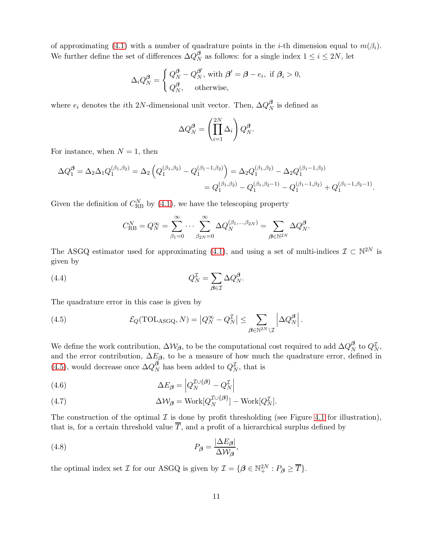of approximating [\(4.1\)](#page-8-1) with a number of quadrature points in the *i*-th dimension equal to  $m(\beta_i)$ . We further define the set of differences  $\Delta Q_N^{\beta}$  $N<sub>N</sub>$  as follows: for a single index  $1 \le i \le 2N$ , let

$$
\Delta_i Q_N^{\beta} = \begin{cases} Q_N^{\beta} - Q_N^{\beta'}, \text{ with } \beta' = \beta - e_i, \text{ if } \beta_i > 0, \\ Q_N^{\beta}, \text{ otherwise,} \end{cases}
$$

where  $e_i$  denotes the *i*th 2N-dimensional unit vector. Then,  $\Delta Q_N^{\beta}$  $N \nightharpoonup N$  is defined as

$$
\Delta Q_N^{\beta} = \left(\prod_{i=1}^{2N} \Delta_i\right) Q_N^{\beta}.
$$

For instance, when  $N = 1$ , then

$$
\Delta Q_1^{\beta} = \Delta_2 \Delta_1 Q_1^{(\beta_1, \beta_2)} = \Delta_2 \left( Q_1^{(\beta_1, \beta_2)} - Q_1^{(\beta_1 - 1, \beta_2)} \right) = \Delta_2 Q_1^{(\beta_1, \beta_2)} - \Delta_2 Q_1^{(\beta_1 - 1, \beta_2)}
$$
  
=  $Q_1^{(\beta_1, \beta_2)} - Q_1^{(\beta_1, \beta_2 - 1)} - Q_1^{(\beta_1 - 1, \beta_2)} + Q_1^{(\beta_1 - 1, \beta_2 - 1)}$ .

Given the definition of  $C_{RB}^{N}$  by [\(4.1\)](#page-8-1), we have the telescoping property

<span id="page-10-0"></span>
$$
C_{\text{RB}}^N = Q_N^{\infty} = \sum_{\beta_1=0}^{\infty} \cdots \sum_{\beta_{2N}=0}^{\infty} \Delta Q_N^{(\beta_1,\ldots,\beta_{2N})} = \sum_{\beta \in \mathbb{N}^{2N}} \Delta Q_N^{\beta}.
$$

The ASGQ estimator used for approximating [\(4.1\)](#page-8-1), and using a set of multi-indices  $\mathcal{I} \subset \mathbb{N}^{2N}$  is given by

(4.4) 
$$
Q_N^{\mathcal{I}} = \sum_{\beta \in \mathcal{I}} \Delta Q_N^{\beta}.
$$

The quadrature error in this case is given by

<span id="page-10-1"></span>(4.5) 
$$
\mathcal{E}_Q(\text{TOL}_{\text{ASGQ}}, N) = |Q_N^{\infty} - Q_N^{\mathcal{I}}| \leq \sum_{\beta \in \mathbb{N}^{2N} \setminus \mathcal{I}} \left| \Delta Q_N^{\beta} \right|.
$$

We define the work contribution,  $\Delta W_{\beta}$ , to be the computational cost required to add  $\Delta Q_N^{\beta}$  $_N^{\boldsymbol{\beta}}$  to  $Q_N^{\mathcal{I}},$ and the error contribution,  $\Delta E_{\beta}$ , to be a measure of how much the quadrature error, defined in [\(4.5\)](#page-10-1), would decrease once  $\Delta Q_N^{\beta}$  $N \nvert N$  has been added to  $Q_N^{\mathcal{I}}$ , that is

<span id="page-10-3"></span>(4.6) 
$$
\Delta E_{\beta} = \left| Q_N^{\mathcal{I} \cup \{\beta\}} - Q_N^{\mathcal{I}} \right|
$$

(4.7) 
$$
\Delta W_{\beta} = \text{Work}[Q_N^{\mathcal{I} \cup \{\beta\}}] - \text{Work}[Q_N^{\mathcal{I}}].
$$

The construction of the optimal  $\mathcal I$  is done by profit thresholding (see Figure [4.1](#page-11-0) for illustration), that is, for a certain threshold value  $\overline{T}$ , and a profit of a hierarchical surplus defined by

<span id="page-10-2"></span>(4.8) 
$$
P_{\beta} = \frac{|\Delta E_{\beta}|}{\Delta W_{\beta}},
$$

the optimal index set  $\mathcal I$  for our ASGQ is given by  $\mathcal I = \{ \boldsymbol{\beta} \in \mathbb{N}_+^{2N} : P_{\boldsymbol{\beta}} \geq \overline{T} \}.$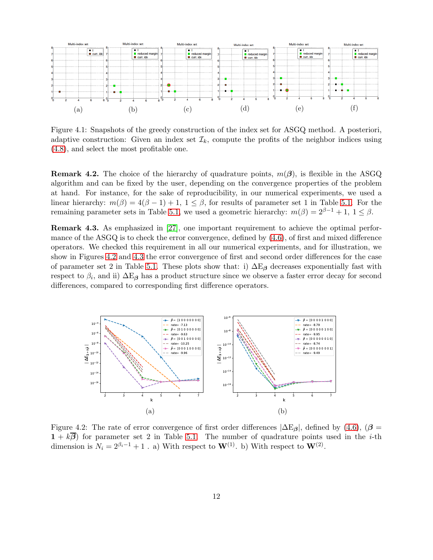<span id="page-11-0"></span>

Figure 4.1: Snapshots of the greedy construction of the index set for ASGQ method. A posteriori, adaptive construction: Given an index set  $\mathcal{I}_k$ , compute the profits of the neighbor indices using [\(4.8\)](#page-10-2), and select the most profitable one.

**Remark 4.2.** The choice of the hierarchy of quadrature points,  $m(\beta)$ , is flexible in the ASGQ algorithm and can be fixed by the user, depending on the convergence properties of the problem at hand. For instance, for the sake of reproducibility, in our numerical experiments, we used a linear hierarchy:  $m(\beta) = 4(\beta - 1) + 1$ ,  $1 \leq \beta$ , for results of parameter set 1 in Table [5.1.](#page-15-0) For the remaining parameter sets in Table [5.1,](#page-15-0) we used a geometric hierarchy:  $m(\beta) = 2^{\beta-1} + 1$ ,  $1 \leq \beta$ .

Remark 4.3. As emphasized in [\[27\]](#page-23-9), one important requirement to achieve the optimal performance of the ASGQ is to check the error convergence, defined by [\(4.6\)](#page-10-3), of first and mixed difference operators. We checked this requirement in all our numerical experiments, and for illustration, we show in Figures [4.2](#page-11-1) and [4.3](#page-12-1) the error convergence of first and second order differences for the case of parameter set 2 in Table [5.1.](#page-15-0) These plots show that: i)  $\Delta E_\beta$  decreases exponentially fast with respect to  $\beta_i$ , and ii)  $\Delta E_\beta$  has a product structure since we observe a faster error decay for second differences, compared to corresponding first difference operators.

<span id="page-11-1"></span>

Figure 4.2: The rate of error convergence of first order differences  $|\Delta E_{\beta}|$ , defined by [\(4.6\)](#page-10-3), ( $\beta$  =  $1 + k\overline{\beta}$  for parameter set 2 in Table [5.1.](#page-15-0) The number of quadrature points used in the *i*-th dimension is  $N_i = 2^{\beta_i - 1} + 1$ . a) With respect to  $\mathbf{W}^{(1)}$ . b) With respect to  $\mathbf{W}^{(2)}$ .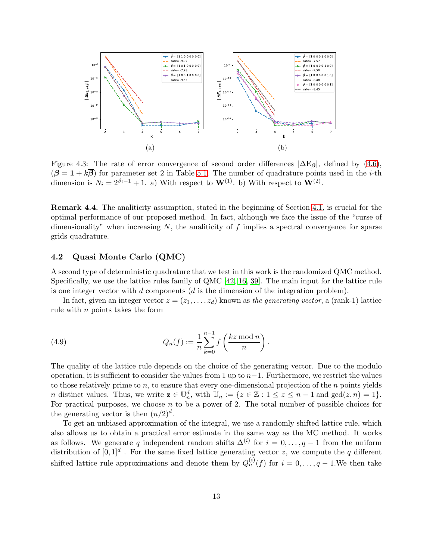<span id="page-12-1"></span>

Figure 4.3: The rate of error convergence of second order differences  $|\Delta E_\beta|$ , defined by [\(4.6\)](#page-10-3),  $(\beta = 1 + k\overline{\beta})$  for parameter set 2 in Table [5.1.](#page-15-0) The number of quadrature points used in the *i*-th dimension is  $N_i = 2^{\beta_i - 1} + 1$ . a) With respect to  $\mathbf{W}^{(1)}$ . b) With respect to  $\mathbf{W}^{(2)}$ .

Remark 4.4. The analiticity assumption, stated in the beginning of Section [4.1,](#page-9-0) is crucial for the optimal performance of our proposed method. In fact, although we face the issue of the "curse of dimensionality" when increasing  $N$ , the analiticity of  $f$  implies a spectral convergence for sparse grids quadrature.

### <span id="page-12-0"></span>4.2 Quasi Monte Carlo (QMC)

A second type of deterministic quadrature that we test in this work is the randomized QMC method. Specifically, we use the lattice rules family of QMC [\[42,](#page-23-10) [16,](#page-22-15) [39\]](#page-23-11). The main input for the lattice rule is one integer vector with  $d$  components  $(d$  is the dimension of the integration problem).

In fact, given an integer vector  $z = (z_1, \ldots, z_d)$  known as the generating vector, a (rank-1) lattice rule with  $n$  points takes the form

(4.9) 
$$
Q_n(f) := \frac{1}{n} \sum_{k=0}^{n-1} f\left(\frac{kz \mod n}{n}\right).
$$

The quality of the lattice rule depends on the choice of the generating vector. Due to the modulo operation, it is sufficient to consider the values from 1 up to  $n-1$ . Furthermore, we restrict the values to those relatively prime to  $n$ , to ensure that every one-dimensional projection of the  $n$  points yields *n* distinct values. Thus, we write  $\mathbf{z} \in \mathbb{U}_n^d$ , with  $\mathbb{U}_n := \{z \in \mathbb{Z} : 1 \le z \le n - 1 \text{ and } \gcd(z, n) = 1\}.$ For practical purposes, we choose  $n$  to be a power of 2. The total number of possible choices for the generating vector is then  $(n/2)^d$ .

To get an unbiased approximation of the integral, we use a randomly shifted lattice rule, which also allows us to obtain a practical error estimate in the same way as the MC method. It works as follows. We generate q independent random shifts  $\Delta^{(i)}$  for  $i = 0, \ldots, q-1$  from the uniform distribution of  $[0,1]^d$ . For the same fixed lattice generating vector z, we compute the q different shifted lattice rule approximations and denote them by  $Q_n^{(i)}(f)$  for  $i = 0, \ldots, q-1$ . We then take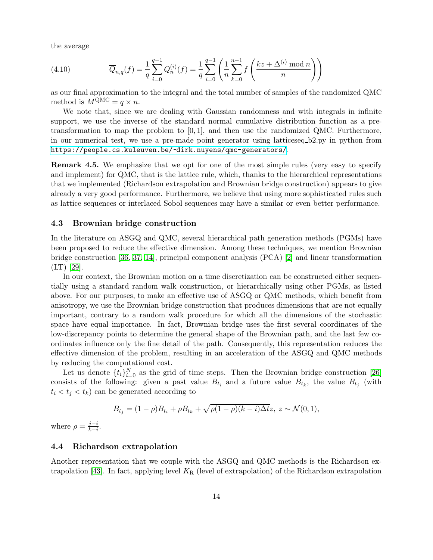the average

(4.10) 
$$
\overline{Q}_{n,q}(f) = \frac{1}{q} \sum_{i=0}^{q-1} Q_n^{(i)}(f) = \frac{1}{q} \sum_{i=0}^{q-1} \left( \frac{1}{n} \sum_{k=0}^{n-1} f\left(\frac{kz + \Delta^{(i)} \mod n}{n}\right) \right)
$$

as our final approximation to the integral and the total number of samples of the randomized QMC method is  $M^{\text{QMC}} = q \times n$ .

We note that, since we are dealing with Gaussian randomness and with integrals in infinite support, we use the inverse of the standard normal cumulative distribution function as a pretransformation to map the problem to  $[0, 1]$ , and then use the randomized QMC. Furthermore, in our numerical test, we use a pre-made point generator using latticeseq b2.py in python from <https://people.cs.kuleuven.be/~dirk.nuyens/qmc-generators/>.

Remark 4.5. We emphasize that we opt for one of the most simple rules (very easy to specify and implement) for QMC, that is the lattice rule, which, thanks to the hierarchical representations that we implemented (Richardson extrapolation and Brownian bridge construction) appears to give already a very good performance. Furthermore, we believe that using more sophisticated rules such as lattice sequences or interlaced Sobol sequences may have a similar or even better performance.

#### <span id="page-13-1"></span>4.3 Brownian bridge construction

In the literature on ASGQ and QMC, several hierarchical path generation methods (PGMs) have been proposed to reduce the effective dimension. Among these techniques, we mention Brownian bridge construction [\[36,](#page-23-12) [37,](#page-23-13) [14\]](#page-22-16), principal component analysis (PCA) [\[2\]](#page-21-7) and linear transformation (LT) [\[29\]](#page-23-14).

In our context, the Brownian motion on a time discretization can be constructed either sequentially using a standard random walk construction, or hierarchically using other PGMs, as listed above. For our purposes, to make an effective use of ASGQ or QMC methods, which benefit from anisotropy, we use the Brownian bridge construction that produces dimensions that are not equally important, contrary to a random walk procedure for which all the dimensions of the stochastic space have equal importance. In fact, Brownian bridge uses the first several coordinates of the low-discrepancy points to determine the general shape of the Brownian path, and the last few coordinates influence only the fine detail of the path. Consequently, this representation reduces the effective dimension of the problem, resulting in an acceleration of the ASGQ and QMC methods by reducing the computational cost.

Let us denote  $\{t_i\}_{i=0}^N$  as the grid of time steps. Then the Brownian bridge construction [\[26\]](#page-22-17) consists of the following: given a past value  $B_{t_i}$  and a future value  $B_{t_k}$ , the value  $B_{t_j}$  (with  $t_i < t_j < t_k$ ) can be generated according to

$$
B_{t_j} = (1 - \rho)B_{t_i} + \rho B_{t_k} + \sqrt{\rho(1 - \rho)(k - i)\Delta t}z, \ z \sim \mathcal{N}(0, 1),
$$

where  $\rho = \frac{j-i}{k-j}$  $\frac{j-i}{k-i}$ .

#### <span id="page-13-0"></span>4.4 Richardson extrapolation

Another representation that we couple with the ASGQ and QMC methods is the Richardson ex-trapolation [\[43\]](#page-23-15). In fact, applying level  $K_R$  (level of extrapolation) of the Richardson extrapolation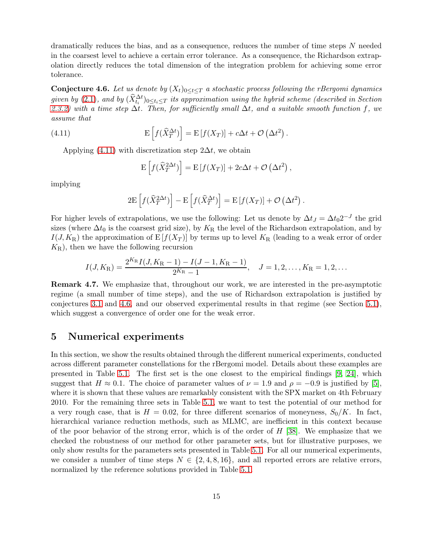dramatically reduces the bias, and as a consequence, reduces the number of time steps N needed in the coarsest level to achieve a certain error tolerance. As a consequence, the Richardson extrapolation directly reduces the total dimension of the integration problem for achieving some error tolerance.

<span id="page-14-0"></span>**Conjecture 4.6.** Let us denote by  $(X_t)_{0 \leq t \leq T}$  a stochastic process following the rBergomi dynamics given by  $(2.1)$ , and by  $(\widehat{X}_{t_i}^{\Delta t})_{0 \leq t_i \leq T}$  its approximation using the hybrid scheme (described in Section [2.3.2\)](#page-6-3) with a time step  $\Delta t$ . Then, for sufficiently small  $\Delta t$ , and a suitable smooth function f, we assume that

<span id="page-14-2"></span>(4.11) 
$$
\mathbf{E}\left[f(\hat{X}_T^{\Delta t})\right] = \mathbf{E}\left[f(X_T)\right] + c\Delta t + \mathcal{O}\left(\Delta t^2\right).
$$

Applying [\(4.11\)](#page-14-2) with discretization step  $2\Delta t$ , we obtain

$$
\mathbf{E}\left[f(\widehat{X}_T^{2\Delta t})\right] = \mathbf{E}\left[f(X_T)\right] + 2c\Delta t + \mathcal{O}\left(\Delta t^2\right),
$$

implying

$$
2E\left[f(\widehat{X}_T^{2\Delta t})\right] - E\left[f(\widehat{X}_T^{\Delta t})\right] = E\left[f(X_T)\right] + \mathcal{O}\left(\Delta t^2\right).
$$

For higher levels of extrapolations, we use the following: Let us denote by  $\Delta t = \Delta t_0 2^{-J}$  the grid sizes (where  $\Delta t_0$  is the coarsest grid size), by K<sub>R</sub> the level of the Richardson extrapolation, and by  $I(J, K_{\rm R})$  the approximation of  $E[f(X_T)]$  by terms up to level  $K_{\rm R}$  (leading to a weak error of order  $K_{\rm R}$ , then we have the following recursion

$$
I(J, K_{\rm R}) = \frac{2^{K_{\rm R}} I(J, K_{\rm R}-1) - I(J-1, K_{\rm R}-1)}{2^{K_{\rm R}}-1}, \quad J = 1, 2, \dots, K_{\rm R} = 1, 2, \dots
$$

Remark 4.7. We emphasize that, throughout our work, we are interested in the pre-asymptotic regime (a small number of time steps), and the use of Richardson extrapolation is justified by conjectures [3.1](#page-7-0) and [4.6,](#page-14-0) and our observed experimental results in that regime (see Section [5.1\)](#page-15-1), which suggest a convergence of order one for the weak error.

# <span id="page-14-1"></span>5 Numerical experiments

In this section, we show the results obtained through the different numerical experiments, conducted across different parameter constellations for the rBergomi model. Details about these examples are presented in Table [5.1.](#page-15-0) The first set is the one closest to the empirical findings [\[9,](#page-22-6) [24\]](#page-22-1), which suggest that  $H \approx 0.1$ . The choice of parameter values of  $\nu = 1.9$  and  $\rho = -0.9$  is justified by [\[5\]](#page-21-0), where it is shown that these values are remarkably consistent with the SPX market on 4th February 2010. For the remaining three sets in Table [5.1,](#page-15-0) we want to test the potential of our method for a very rough case, that is  $H = 0.02$ , for three different scenarios of moneyness,  $S_0/K$ . In fact, hierarchical variance reduction methods, such as MLMC, are inefficient in this context because of the poor behavior of the strong error, which is of the order of  $H$  [\[38\]](#page-23-5). We emphasize that we checked the robustness of our method for other parameter sets, but for illustrative purposes, we only show results for the parameters sets presented in Table [5.1.](#page-15-0) For all our numerical experiments, we consider a number of time steps  $N \in \{2, 4, 8, 16\}$ , and all reported errors are relative errors, normalized by the reference solutions provided in Table [5.1.](#page-15-0)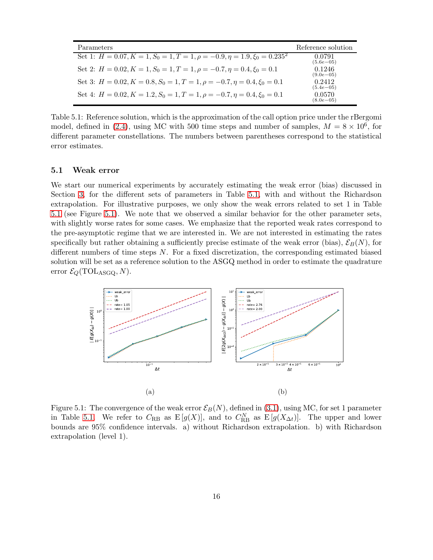<span id="page-15-0"></span>

| Parameters                                                                         | Reference solution       |
|------------------------------------------------------------------------------------|--------------------------|
| Set 1: $H = 0.07, K = 1, S_0 = 1, T = 1, \rho = -0.9, \eta = 1.9, \xi_0 = 0.235^2$ | 0.0791<br>$(5.6e - 0.5)$ |
| Set 2: $H = 0.02, K = 1, S_0 = 1, T = 1, \rho = -0.7, \eta = 0.4, \xi_0 = 0.1$     | 0.1246<br>$(9.0e - 0.5)$ |
| Set 3: $H = 0.02, K = 0.8, S_0 = 1, T = 1, \rho = -0.7, \eta = 0.4, \xi_0 = 0.1$   | 0.2412<br>$(5.4e - 05)$  |
| Set 4: $H = 0.02, K = 1.2, S_0 = 1, T = 1, \rho = -0.7, \eta = 0.4, \xi_0 = 0.1$   | 0.0570<br>$(8.0e - 0.5)$ |

Table 5.1: Reference solution, which is the approximation of the call option price under the rBergomi model, defined in [\(2.4\)](#page-4-1), using MC with 500 time steps and number of samples,  $M = 8 \times 10^6$ , for different parameter constellations. The numbers between parentheses correspond to the statistical error estimates.

### <span id="page-15-1"></span>5.1 Weak error

We start our numerical experiments by accurately estimating the weak error (bias) discussed in Section [3,](#page-7-1) for the different sets of parameters in Table [5.1,](#page-15-0) with and without the Richardson extrapolation. For illustrative purposes, we only show the weak errors related to set 1 in Table [5.1](#page-15-0) (see Figure [5.1\)](#page-15-2). We note that we observed a similar behavior for the other parameter sets, with slightly worse rates for some cases. We emphasize that the reported weak rates correspond to the pre-asymptotic regime that we are interested in. We are not interested in estimating the rates specifically but rather obtaining a sufficiently precise estimate of the weak error (bias),  $\mathcal{E}_B(N)$ , for different numbers of time steps N. For a fixed discretization, the corresponding estimated biased solution will be set as a reference solution to the ASGQ method in order to estimate the quadrature error  $\mathcal{E}_Q(\text{TOL}_{\text{ASGQ}}, N)$ .

<span id="page-15-2"></span>

Figure 5.1: The convergence of the weak error  $\mathcal{E}_B(N)$ , defined in [\(3.1\)](#page-7-2), using MC, for set 1 parameter in Table [5.1.](#page-15-0) We refer to  $C_{RB}$  as  $E[g(X)]$ , and to  $C_{RB}^N$  as  $E[g(X_{\Delta t})]$ . The upper and lower bounds are 95% confidence intervals. a) without Richardson extrapolation. b) with Richardson extrapolation (level 1).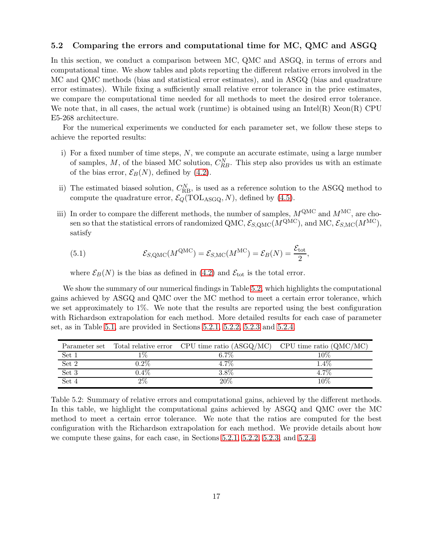### 5.2 Comparing the errors and computational time for MC, QMC and ASGQ

In this section, we conduct a comparison between MC, QMC and ASGQ, in terms of errors and computational time. We show tables and plots reporting the different relative errors involved in the MC and QMC methods (bias and statistical error estimates), and in ASGQ (bias and quadrature error estimates). While fixing a sufficiently small relative error tolerance in the price estimates, we compare the computational time needed for all methods to meet the desired error tolerance. We note that, in all cases, the actual work (runtime) is obtained using an Intel(R) Xeon(R) CPU E5-268 architecture.

For the numerical experiments we conducted for each parameter set, we follow these steps to achieve the reported results:

- i) For a fixed number of time steps,  $N$ , we compute an accurate estimate, using a large number of samples, M, of the biased MC solution,  $C_{RB}^{N}$ . This step also provides us with an estimate of the bias error,  $\mathcal{E}_B(N)$ , defined by [\(4.2\)](#page-8-3).
- ii) The estimated biased solution,  $C_{\text{RB}}^{N}$ , is used as a reference solution to the ASGQ method to compute the quadrature error,  $\mathcal{E}_Q(\text{TOL}_{\text{ASGQ}}, N)$ , defined by [\(4.5\)](#page-10-1).
- iii) In order to compare the different methods, the number of samples,  $M^{\text{QMC}}$  and  $M^{\text{MC}}$ , are chosen so that the statistical errors of randomized QMC,  $\mathcal{E}_{S, \text{QMC}}(M^{\text{QMC}})$ , and MC,  $\mathcal{E}_{S, \text{MC}}(M^{\text{MC}})$ , satisfy

<span id="page-16-1"></span>(5.1) 
$$
\mathcal{E}_{S, \text{QMC}}(M^{\text{QMC}}) = \mathcal{E}_{S, \text{MC}}(M^{\text{MC}}) = \mathcal{E}_B(N) = \frac{\mathcal{E}_{\text{tot}}}{2},
$$

where  $\mathcal{E}_B(N)$  is the bias as defined in [\(4.2\)](#page-8-3) and  $\mathcal{E}_{\text{tot}}$  is the total error.

We show the summary of our numerical findings in Table [5.2,](#page-16-0) which highlights the computational gains achieved by ASGQ and QMC over the MC method to meet a certain error tolerance, which we set approximately to 1%. We note that the results are reported using the best configuration with Richardson extrapolation for each method. More detailed results for each case of parameter set, as in Table [5.1,](#page-15-0) are provided in Sections [5.2.1,](#page-17-0) [5.2.2,](#page-18-0) [5.2.3](#page-19-0) and [5.2.4.](#page-19-1)

<span id="page-16-0"></span>

|       |         | Parameter set Total relative error CPU time ratio (ASGQ/MC) CPU time ratio (QMC/MC) |         |
|-------|---------|-------------------------------------------------------------------------------------|---------|
| Set 1 |         | 6.7\%                                                                               | 10%     |
| Set 2 | $0.2\%$ | $4.7\%$                                                                             | $1.4\%$ |
| Set 3 | $0.4\%$ | 3.8%                                                                                | 4.7%    |
| Set 4 | $2\%$   | 20%                                                                                 | 10%     |

Table 5.2: Summary of relative errors and computational gains, achieved by the different methods. In this table, we highlight the computational gains achieved by ASGQ and QMC over the MC method to meet a certain error tolerance. We note that the ratios are computed for the best configuration with the Richardson extrapolation for each method. We provide details about how we compute these gains, for each case, in Sections [5.2.1,](#page-17-0) [5.2.2,](#page-18-0) [5.2.3,](#page-19-0) and [5.2.4.](#page-19-1)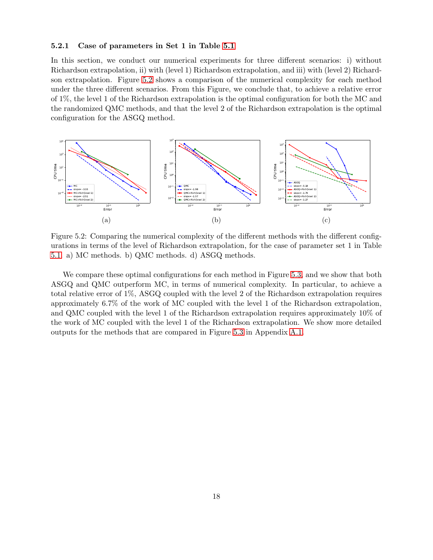### <span id="page-17-0"></span>5.2.1 Case of parameters in Set 1 in Table [5.1](#page-15-0)

In this section, we conduct our numerical experiments for three different scenarios: i) without Richardson extrapolation, ii) with (level 1) Richardson extrapolation, and iii) with (level 2) Richardson extrapolation. Figure [5.2](#page-17-1) shows a comparison of the numerical complexity for each method under the three different scenarios. From this Figure, we conclude that, to achieve a relative error of 1%, the level 1 of the Richardson extrapolation is the optimal configuration for both the MC and the randomized QMC methods, and that the level 2 of the Richardson extrapolation is the optimal configuration for the ASGQ method.

<span id="page-17-1"></span>

Figure 5.2: Comparing the numerical complexity of the different methods with the different configurations in terms of the level of Richardson extrapolation, for the case of parameter set 1 in Table [5.1.](#page-15-0) a) MC methods. b) QMC methods. d) ASGQ methods.

We compare these optimal configurations for each method in Figure [5.3,](#page-18-1) and we show that both ASGQ and QMC outperform MC, in terms of numerical complexity. In particular, to achieve a total relative error of 1%, ASGQ coupled with the level 2 of the Richardson extrapolation requires approximately 6.7% of the work of MC coupled with the level 1 of the Richardson extrapolation, and QMC coupled with the level 1 of the Richardson extrapolation requires approximately 10% of the work of MC coupled with the level 1 of the Richardson extrapolation. We show more detailed outputs for the methods that are compared in Figure [5.3](#page-18-1) in Appendix [A.1.](#page-24-0)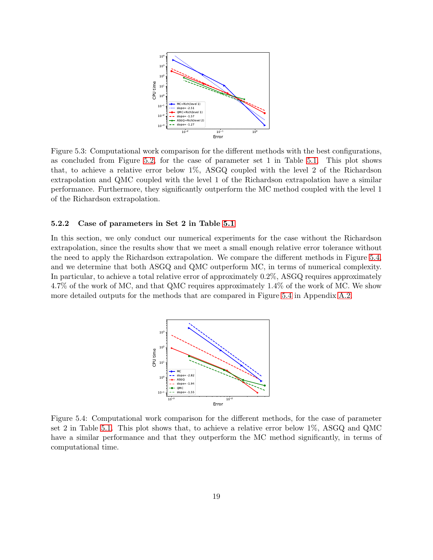<span id="page-18-1"></span>

Figure 5.3: Computational work comparison for the different methods with the best configurations, as concluded from Figure [5.2,](#page-17-1) for the case of parameter set 1 in Table [5.1.](#page-15-0) This plot shows that, to achieve a relative error below 1%, ASGQ coupled with the level 2 of the Richardson extrapolation and QMC coupled with the level 1 of the Richardson extrapolation have a similar performance. Furthermore, they significantly outperform the MC method coupled with the level 1 of the Richardson extrapolation.

#### <span id="page-18-0"></span>5.2.2 Case of parameters in Set 2 in Table [5.1](#page-15-0)

<span id="page-18-2"></span>In this section, we only conduct our numerical experiments for the case without the Richardson extrapolation, since the results show that we meet a small enough relative error tolerance without the need to apply the Richardson extrapolation. We compare the different methods in Figure [5.4,](#page-18-2) and we determine that both ASGQ and QMC outperform MC, in terms of numerical complexity. In particular, to achieve a total relative error of approximately 0.2%, ASGQ requires approximately 4.7% of the work of MC, and that QMC requires approximately 1.4% of the work of MC. We show more detailed outputs for the methods that are compared in Figure [5.4](#page-18-2) in Appendix [A.2.](#page-25-0)



Figure 5.4: Computational work comparison for the different methods, for the case of parameter set 2 in Table [5.1.](#page-15-0) This plot shows that, to achieve a relative error below 1%, ASGQ and QMC have a similar performance and that they outperform the MC method significantly, in terms of computational time.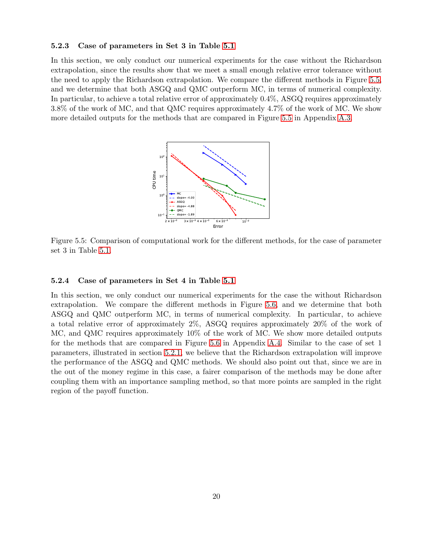#### <span id="page-19-0"></span>5.2.3 Case of parameters in Set 3 in Table [5.1](#page-15-0)

<span id="page-19-2"></span>In this section, we only conduct our numerical experiments for the case without the Richardson extrapolation, since the results show that we meet a small enough relative error tolerance without the need to apply the Richardson extrapolation. We compare the different methods in Figure [5.5,](#page-19-2) and we determine that both ASGQ and QMC outperform MC, in terms of numerical complexity. In particular, to achieve a total relative error of approximately 0.4%, ASGQ requires approximately 3.8% of the work of MC, and that QMC requires approximately 4.7% of the work of MC. We show more detailed outputs for the methods that are compared in Figure [5.5](#page-19-2) in Appendix [A.3.](#page-25-1)



Figure 5.5: Comparison of computational work for the different methods, for the case of parameter set 3 in Table [5.1.](#page-15-0)

#### <span id="page-19-1"></span>5.2.4 Case of parameters in Set 4 in Table [5.1](#page-15-0)

In this section, we only conduct our numerical experiments for the case the without Richardson extrapolation. We compare the different methods in Figure [5.6,](#page-20-0) and we determine that both ASGQ and QMC outperform MC, in terms of numerical complexity. In particular, to achieve a total relative error of approximately 2%, ASGQ requires approximately 20% of the work of MC, and QMC requires approximately 10% of the work of MC. We show more detailed outputs for the methods that are compared in Figure [5.6](#page-20-0) in Appendix [A.4.](#page-26-0) Similar to the case of set 1 parameters, illustrated in section [5.2.1,](#page-17-0) we believe that the Richardson extrapolation will improve the performance of the ASGQ and QMC methods. We should also point out that, since we are in the out of the money regime in this case, a fairer comparison of the methods may be done after coupling them with an importance sampling method, so that more points are sampled in the right region of the payoff function.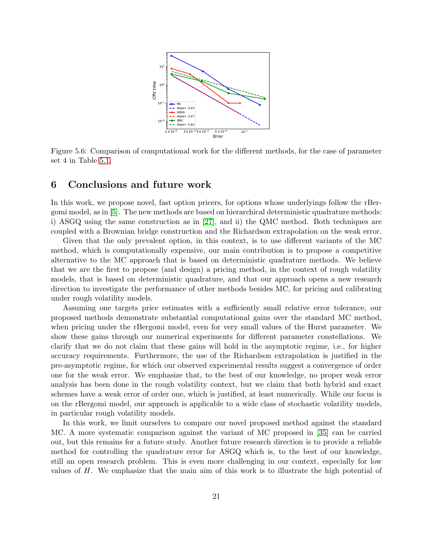<span id="page-20-0"></span>

Figure 5.6: Comparison of computational work for the different methods, for the case of parameter set 4 in Table [5.1.](#page-15-0)

# 6 Conclusions and future work

In this work, we propose novel, fast option pricers, for options whose underlyings follow the rBergomi model, as in [\[5\]](#page-21-0). The new methods are based on hierarchical deterministic quadrature methods: i) ASGQ using the same construction as in [\[27\]](#page-23-9), and ii) the QMC method. Both techniques are coupled with a Brownian bridge construction and the Richardson extrapolation on the weak error.

Given that the only prevalent option, in this context, is to use different variants of the MC method, which is computationally expensive, our main contribution is to propose a competitive alternative to the MC approach that is based on deterministic quadrature methods. We believe that we are the first to propose (and design) a pricing method, in the context of rough volatility models, that is based on deterministic quadrature, and that our approach opens a new research direction to investigate the performance of other methods besides MC, for pricing and calibrating under rough volatility models.

Assuming one targets price estimates with a sufficiently small relative error tolerance, our proposed methods demonstrate substantial computational gains over the standard MC method, when pricing under the rBergomi model, even for very small values of the Hurst parameter. We show these gains through our numerical experiments for different parameter constellations. We clarify that we do not claim that these gains will hold in the asymptotic regime, i.e., for higher accuracy requirements. Furthermore, the use of the Richardson extrapolation is justified in the pre-asymptotic regime, for which our observed experimental results suggest a convergence of order one for the weak error. We emphasize that, to the best of our knowledge, no proper weak error analysis has been done in the rough volatility context, but we claim that both hybrid and exact schemes have a weak error of order one, which is justified, at least numerically. While our focus is on the rBergomi model, our approach is applicable to a wide class of stochastic volatility models, in particular rough volatility models.

In this work, we limit ourselves to compare our novel proposed method against the standard MC. A more systematic comparison against the variant of MC proposed in [\[35\]](#page-23-2) can be carried out, but this remains for a future study. Another future research direction is to provide a reliable method for controlling the quadrature error for ASGQ which is, to the best of our knowledge, still an open research problem. This is even more challenging in our context, especially for low values of H. We emphasize that the main aim of this work is to illustrate the high potential of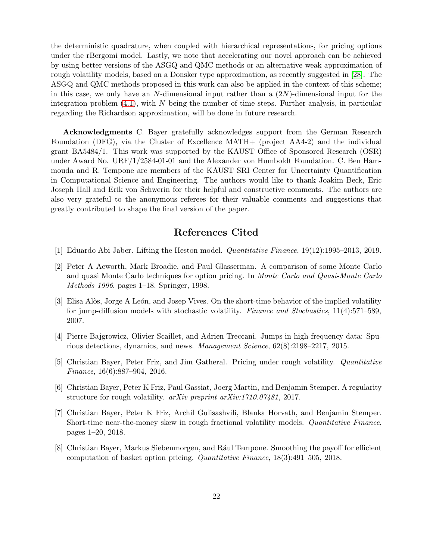the deterministic quadrature, when coupled with hierarchical representations, for pricing options under the rBergomi model. Lastly, we note that accelerating our novel approach can be achieved by using better versions of the ASGQ and QMC methods or an alternative weak approximation of rough volatility models, based on a Donsker type approximation, as recently suggested in [\[28\]](#page-23-16). The ASGQ and QMC methods proposed in this work can also be applied in the context of this scheme; in this case, we only have an N-dimensional input rather than a  $(2N)$ -dimensional input for the integration problem  $(4.1)$ , with N being the number of time steps. Further analysis, in particular regarding the Richardson approximation, will be done in future research.

Acknowledgments C. Bayer gratefully acknowledges support from the German Research Foundation (DFG), via the Cluster of Excellence MATH+ (project AA4-2) and the individual grant BA5484/1. This work was supported by the KAUST Office of Sponsored Research (OSR) under Award No. URF/1/2584-01-01 and the Alexander von Humboldt Foundation. C. Ben Hammouda and R. Tempone are members of the KAUST SRI Center for Uncertainty Quantification in Computational Science and Engineering. The authors would like to thank Joakim Beck, Eric Joseph Hall and Erik von Schwerin for their helpful and constructive comments. The authors are also very grateful to the anonymous referees for their valuable comments and suggestions that greatly contributed to shape the final version of the paper.

# References Cited

- <span id="page-21-7"></span><span id="page-21-3"></span>[1] Eduardo Abi Jaber. Lifting the Heston model. Quantitative Finance, 19(12):1995–2013, 2019.
- [2] Peter A Acworth, Mark Broadie, and Paul Glasserman. A comparison of some Monte Carlo and quasi Monte Carlo techniques for option pricing. In Monte Carlo and Quasi-Monte Carlo Methods 1996, pages 1–18. Springer, 1998.
- <span id="page-21-2"></span>[3] Elisa Alòs, Jorge A León, and Josep Vives. On the short-time behavior of the implied volatility for jump-diffusion models with stochastic volatility. Finance and Stochastics, 11(4):571–589, 2007.
- <span id="page-21-1"></span>[4] Pierre Bajgrowicz, Olivier Scaillet, and Adrien Treccani. Jumps in high-frequency data: Spurious detections, dynamics, and news. Management Science, 62(8):2198–2217, 2015.
- <span id="page-21-0"></span>[5] Christian Bayer, Peter Friz, and Jim Gatheral. Pricing under rough volatility. Quantitative Finance, 16(6):887–904, 2016.
- <span id="page-21-4"></span>[6] Christian Bayer, Peter K Friz, Paul Gassiat, Joerg Martin, and Benjamin Stemper. A regularity structure for rough volatility. arXiv preprint arXiv:1710.07481, 2017.
- <span id="page-21-5"></span>[7] Christian Bayer, Peter K Friz, Archil Gulisashvili, Blanka Horvath, and Benjamin Stemper. Short-time near-the-money skew in rough fractional volatility models. Quantitative Finance, pages 1–20, 2018.
- <span id="page-21-6"></span>[8] Christian Bayer, Markus Siebenmorgen, and Rául Tempone. Smoothing the payoff for efficient computation of basket option pricing. Quantitative Finance, 18(3):491–505, 2018.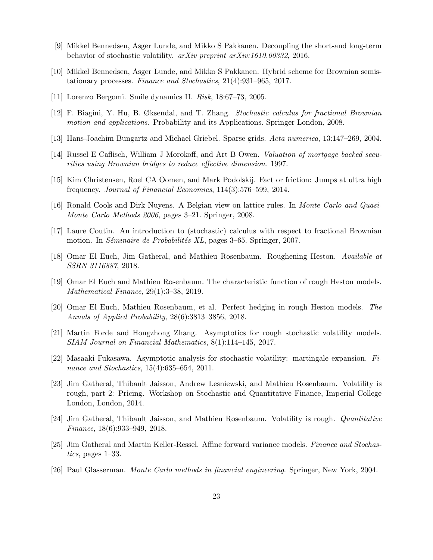- <span id="page-22-12"></span><span id="page-22-6"></span>[9] Mikkel Bennedsen, Asger Lunde, and Mikko S Pakkanen. Decoupling the short-and long-term behavior of stochastic volatility. arXiv preprint arXiv:1610.00332, 2016.
- <span id="page-22-7"></span>[10] Mikkel Bennedsen, Asger Lunde, and Mikko S Pakkanen. Hybrid scheme for Brownian semistationary processes. Finance and Stochastics, 21(4):931–965, 2017.
- <span id="page-22-4"></span>[11] Lorenzo Bergomi. Smile dynamics II. Risk, 18:67–73, 2005.
- <span id="page-22-14"></span>[12] F. Biagini, Y. Hu, B. Øksendal, and T. Zhang. Stochastic calculus for fractional Brownian motion and applications. Probability and its Applications. Springer London, 2008.
- <span id="page-22-16"></span>[13] Hans-Joachim Bungartz and Michael Griebel. Sparse grids. Acta numerica, 13:147–269, 2004.
- <span id="page-22-0"></span>[14] Russel E Caflisch, William J Morokoff, and Art B Owen. Valuation of mortgage backed securities using Brownian bridges to reduce effective dimension. 1997.
- <span id="page-22-15"></span>[15] Kim Christensen, Roel CA Oomen, and Mark Podolskij. Fact or friction: Jumps at ultra high frequency. Journal of Financial Economics, 114(3):576–599, 2014.
- <span id="page-22-3"></span>[16] Ronald Cools and Dirk Nuyens. A Belgian view on lattice rules. In Monte Carlo and Quasi-Monte Carlo Methods 2006, pages 3–21. Springer, 2008.
- <span id="page-22-8"></span>[17] Laure Coutin. An introduction to (stochastic) calculus with respect to fractional Brownian motion. In *Séminaire de Probabilités XL*, pages 3–65. Springer, 2007.
- <span id="page-22-10"></span>[18] Omar El Euch, Jim Gatheral, and Mathieu Rosenbaum. Roughening Heston. Available at SSRN 3116887, 2018.
- [19] Omar El Euch and Mathieu Rosenbaum. The characteristic function of rough Heston models. Mathematical Finance, 29(1):3–38, 2019.
- <span id="page-22-9"></span>[20] Omar El Euch, Mathieu Rosenbaum, et al. Perfect hedging in rough Heston models. The Annals of Applied Probability, 28(6):3813–3856, 2018.
- <span id="page-22-13"></span>[21] Martin Forde and Hongzhong Zhang. Asymptotics for rough stochastic volatility models. SIAM Journal on Financial Mathematics, 8(1):114–145, 2017.
- <span id="page-22-2"></span>[22] Masaaki Fukasawa. Asymptotic analysis for stochastic volatility: martingale expansion. Finance and Stochastics, 15(4):635–654, 2011.
- <span id="page-22-5"></span>[23] Jim Gatheral, Thibault Jaisson, Andrew Lesniewski, and Mathieu Rosenbaum. Volatility is rough, part 2: Pricing. Workshop on Stochastic and Quantitative Finance, Imperial College London, London, 2014.
- <span id="page-22-11"></span><span id="page-22-1"></span>[24] Jim Gatheral, Thibault Jaisson, and Mathieu Rosenbaum. Volatility is rough. Quantitative Finance, 18(6):933–949, 2018.
- [25] Jim Gatheral and Martin Keller-Ressel. Affine forward variance models. Finance and Stochastics, pages 1–33.
- <span id="page-22-17"></span>[26] Paul Glasserman. Monte Carlo methods in financial engineering. Springer, New York, 2004.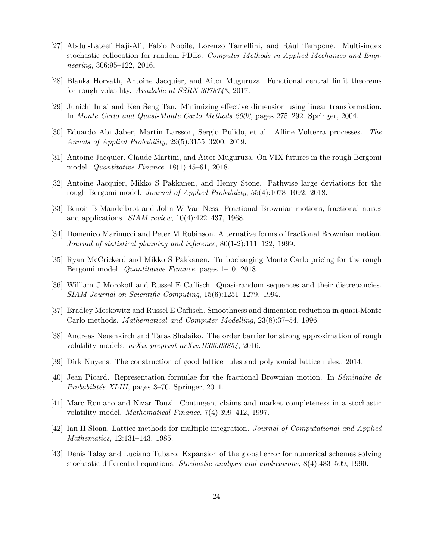- <span id="page-23-9"></span>[27] Abdul-Lateef Haji-Ali, Fabio Nobile, Lorenzo Tamellini, and Rául Tempone. Multi-index stochastic collocation for random PDEs. Computer Methods in Applied Mechanics and Engineering, 306:95–122, 2016.
- <span id="page-23-16"></span><span id="page-23-14"></span>[28] Blanka Horvath, Antoine Jacquier, and Aitor Muguruza. Functional central limit theorems for rough volatility. Available at SSRN 3078743, 2017.
- <span id="page-23-1"></span>[29] Junichi Imai and Ken Seng Tan. Minimizing effective dimension using linear transformation. In Monte Carlo and Quasi-Monte Carlo Methods 2002, pages 275–292. Springer, 2004.
- <span id="page-23-3"></span>[30] Eduardo Abi Jaber, Martin Larsson, Sergio Pulido, et al. Affine Volterra processes. The Annals of Applied Probability, 29(5):3155–3200, 2019.
- <span id="page-23-4"></span>[31] Antoine Jacquier, Claude Martini, and Aitor Muguruza. On VIX futures in the rough Bergomi model. Quantitative Finance, 18(1):45–61, 2018.
- <span id="page-23-0"></span>[32] Antoine Jacquier, Mikko S Pakkanen, and Henry Stone. Pathwise large deviations for the rough Bergomi model. Journal of Applied Probability, 55(4):1078–1092, 2018.
- <span id="page-23-7"></span>[33] Benoit B Mandelbrot and John W Van Ness. Fractional Brownian motions, fractional noises and applications.  $SIAM$  review,  $10(4):422-437$ , 1968.
- [34] Domenico Marinucci and Peter M Robinson. Alternative forms of fractional Brownian motion. Journal of statistical planning and inference, 80(1-2):111–122, 1999.
- <span id="page-23-12"></span><span id="page-23-2"></span>[35] Ryan McCrickerd and Mikko S Pakkanen. Turbocharging Monte Carlo pricing for the rough Bergomi model. Quantitative Finance, pages 1–10, 2018.
- [36] William J Morokoff and Russel E Caflisch. Quasi-random sequences and their discrepancies. SIAM Journal on Scientific Computing, 15(6):1251–1279, 1994.
- <span id="page-23-13"></span>[37] Bradley Moskowitz and Russel E Caflisch. Smoothness and dimension reduction in quasi-Monte Carlo methods. Mathematical and Computer Modelling, 23(8):37–54, 1996.
- <span id="page-23-11"></span><span id="page-23-5"></span>[38] Andreas Neuenkirch and Taras Shalaiko. The order barrier for strong approximation of rough volatility models. arXiv preprint arXiv:1606.03854, 2016.
- <span id="page-23-8"></span>[39] Dirk Nuyens. The construction of good lattice rules and polynomial lattice rules., 2014.
- <span id="page-23-6"></span>[40] Jean Picard. Representation formulae for the fractional Brownian motion. In Séminaire de Probabilités XLIII, pages 3–70. Springer, 2011.
- [41] Marc Romano and Nizar Touzi. Contingent claims and market completeness in a stochastic volatility model. Mathematical Finance, 7(4):399–412, 1997.
- <span id="page-23-15"></span><span id="page-23-10"></span>[42] Ian H Sloan. Lattice methods for multiple integration. Journal of Computational and Applied Mathematics, 12:131–143, 1985.
- [43] Denis Talay and Luciano Tubaro. Expansion of the global error for numerical schemes solving stochastic differential equations. Stochastic analysis and applications, 8(4):483–509, 1990.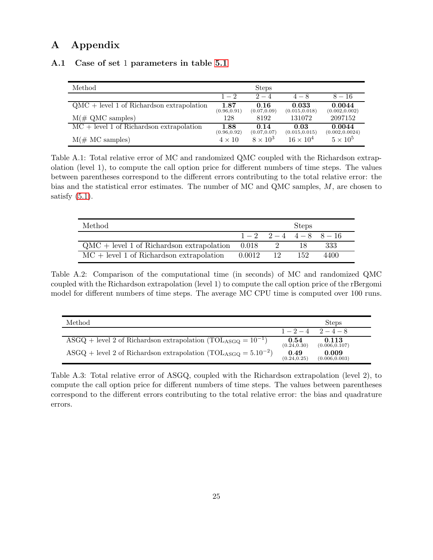# <span id="page-24-0"></span>A Appendix

### A.1 Case of set 1 parameters in table [5.1](#page-15-0)

| Method                                      |                      | <b>Steps</b>         |                         |                           |
|---------------------------------------------|----------------------|----------------------|-------------------------|---------------------------|
|                                             | $1 - 2$              | $2 - 4$              | $4 - 8$                 | $8 - 16$                  |
| $QMC + level 1$ of Richardson extrapolation | 1.87<br>(0.96, 0.91) | 0.16<br>(0.07, 0.09) | 0.033<br>(0.015, 0.018) | 0.0044<br>(0.002, 0.002)  |
| $M(\text{# QMC samples})$                   | 128                  | 8192                 | 131072                  | 2097152                   |
| $MC + level 1$ of Richardson extrapolation  | 1.88<br>(0.96, 0.92) | 0.14<br>(0.07, 0.07) | 0.03<br>(0.015, 0.015)  | 0.0044<br>(0.002, 0.0024) |
| $M(\text{# MC samples})$                    | $4 \times 10$        | $8 \times 10^3$      | $16 \times 10^{4}$      | $5 \times 10^5$           |

Table A.1: Total relative error of MC and randomized QMC coupled with the Richardson extrapolation (level 1), to compute the call option price for different numbers of time steps. The values between parentheses correspond to the different errors contributing to the total relative error: the bias and the statistical error estimates. The number of MC and QMC samples, M, are chosen to satisfy  $(5.1)$ .

| Method                                              |        |      | <b>Steps</b>             |      |
|-----------------------------------------------------|--------|------|--------------------------|------|
|                                                     |        |      | $1-2$ $2-4$ $4-8$ $8-16$ |      |
| $QMC + level 1$ of Richardson extrapolation $0.018$ |        |      |                          | 333  |
| $MC + level 1$ of Richardson extrapolation          | 0.0012 | - 12 | 152.                     | 4400 |

Table A.2: Comparison of the computational time (in seconds) of MC and randomized QMC coupled with the Richardson extrapolation (level 1) to compute the call option price of the rBergomi model for different numbers of time steps. The average MC CPU time is computed over 100 runs.

| Method                                                                          |                      | <b>Steps</b>            |
|---------------------------------------------------------------------------------|----------------------|-------------------------|
|                                                                                 |                      | $1-2-4$ $2-4-8$         |
| ASGQ + level 2 of Richardson extrapolation (TOL <sub>ASGO</sub> = $10^{-1}$ )   | 0.54<br>(0.24, 0.30) | 0.113<br>(0.006, 0.107) |
| ASGQ + level 2 of Richardson extrapolation (TOL <sub>ASGQ</sub> = $5.10^{-2}$ ) | 0.49<br>(0.24, 0.25) | 0.009<br>(0.006, 0.003) |

Table A.3: Total relative error of ASGQ, coupled with the Richardson extrapolation (level 2), to compute the call option price for different numbers of time steps. The values between parentheses correspond to the different errors contributing to the total relative error: the bias and quadrature errors.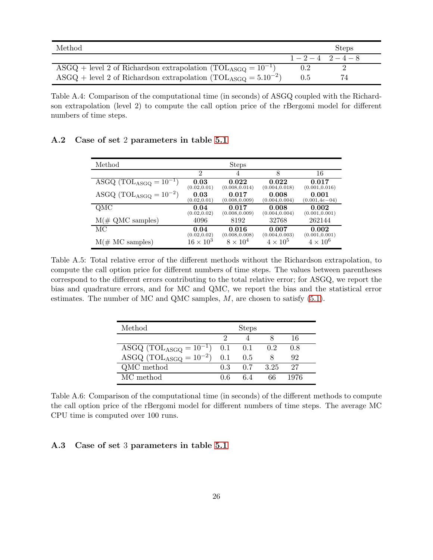| Method.                                                                         |                 | <b>Steps</b> |  |
|---------------------------------------------------------------------------------|-----------------|--------------|--|
|                                                                                 | $1-2-4$ $2-4-8$ |              |  |
| ASGQ + level 2 of Richardson extrapolation (TOL <sub>ASGO</sub> = $10^{-1}$ )   | $0.2\,$         |              |  |
| ASGQ + level 2 of Richardson extrapolation (TOL <sub>ASGQ</sub> = $5.10^{-2}$ ) | 0.5             | 74           |  |

Table A.4: Comparison of the computational time (in seconds) of ASGQ coupled with the Richardson extrapolation (level 2) to compute the call option price of the rBergomi model for different numbers of time steps.

<span id="page-25-0"></span>

| A.2 Case of set 2 parameters in table 5.1 |  |  |  |  |
|-------------------------------------------|--|--|--|--|
|-------------------------------------------|--|--|--|--|

| Method                        |                  | <b>Steps</b>    |                 |                    |
|-------------------------------|------------------|-----------------|-----------------|--------------------|
|                               | $\overline{2}$   | 4               | 8               | 16                 |
| ASGQ $(TOL_{ASGQ} = 10^{-1})$ | 0.03             | 0.022           | 0.022           | 0.017              |
|                               | (0.02, 0.01)     | (0.008, 0.014)  | (0.004, 0.018)  | (0.001, 0.016)     |
| ASGQ $(TOL_{ASGQ} = 10^{-2})$ | 0.03             | 0.017           | 0.008           | 0.001              |
|                               | (0.02, 0.01)     | (0.008, 0.009)  | (0.004, 0.004)  | $(0.001, 4e - 04)$ |
| QMC                           | 0.04             | 0.017           | 0.008           | 0.002              |
|                               | (0.02, 0.02)     | (0.008, 0.009)  | (0.004, 0.004)  | (0.001, 0.001)     |
| $M(\text{# QMC samples})$     | 4096             | 8192            | 32768           | 262144             |
| МC                            | 0.04             | 0.016           | 0.007           | 0.002              |
|                               | (0.02, 0.02)     | (0.008, 0.008)  | (0.004, 0.003)  | (0.001, 0.001)     |
| $M(\text{# MC samples})$      | $16 \times 10^3$ | $8 \times 10^4$ | $4 \times 10^5$ | $4 \times 10^6$    |

Table A.5: Total relative error of the different methods without the Richardson extrapolation, to compute the call option price for different numbers of time steps. The values between parentheses correspond to the different errors contributing to the total relative error; for ASGQ, we report the bias and quadrature errors, and for MC and QMC, we report the bias and the statistical error estimates. The number of MC and QMC samples,  $M$ , are chosen to satisfy  $(5.1)$ .

| Method                        | <b>Steps</b> |       |      |      |  |  |
|-------------------------------|--------------|-------|------|------|--|--|
|                               |              |       |      | 16   |  |  |
| ASGQ $(TOL_{ASGQ} = 10^{-1})$ | 0.1          | - 0.1 | 0.2  | 0.8  |  |  |
| ASGQ $(TOL_{ASGO} = 10^{-2})$ | 0.1          | 0.5   |      | 92   |  |  |
| QMC method                    | 0.3          | 0.7   | 3.25 | 27   |  |  |
| MC method                     | በ 6          |       | 66   | 1976 |  |  |

Table A.6: Comparison of the computational time (in seconds) of the different methods to compute the call option price of the rBergomi model for different numbers of time steps. The average MC CPU time is computed over 100 runs.

### <span id="page-25-1"></span>A.3 Case of set 3 parameters in table [5.1](#page-15-0)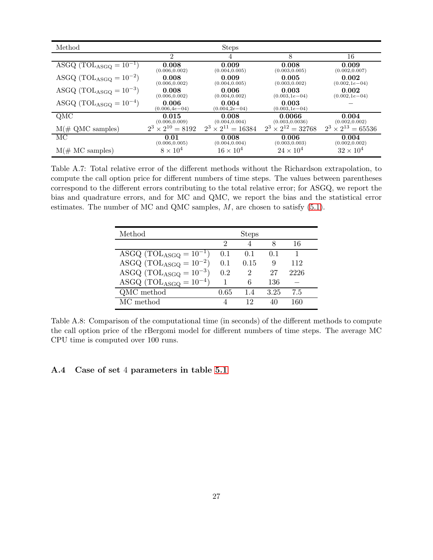| Method                        |                             | <b>Steps</b>                |                             |                             |
|-------------------------------|-----------------------------|-----------------------------|-----------------------------|-----------------------------|
|                               | $\mathfrak{D}$              | 4                           | 8                           | 16                          |
| ASGQ $(TOL_{ASGQ} = 10^{-1})$ | 0.008                       | 0.009                       | 0.008                       | 0.009                       |
|                               | (0.006, 0.002)              | (0.004, 0.005)              | (0.003, 0.005)              | (0.002, 0.007)              |
| ASGQ $(TOL_{ASGQ} = 10^{-2})$ | 0.008                       | 0.009                       | 0.005                       | 0.002                       |
|                               | (0.006, 0.002)              | (0.004, 0.005)              | (0.003, 0.002)              | $(0.002, 1e-04)$            |
| ASGQ $(TOL_{ASGQ} = 10^{-3})$ | 0.008                       | 0.006                       | 0.003                       | 0.002                       |
|                               | (0.006, 0.002)              | (0.004, 0.002)              | $(0.003, 1e-04)$            | $(0.002, 1e-04)$            |
| ASGQ $(TOL_{ASGQ} = 10^{-4})$ | 0.006<br>$(0.006, 4e - 04)$ | 0.004<br>$(0.004, 2e - 04)$ | 0.003<br>$(0.003, 1e-04)$   |                             |
| QMC                           | 0.015                       | 0.008                       | 0.0066                      | 0.004                       |
|                               | (0.006, 0.009)              | (0.004, 0.004)              | (0.003, 0.0036)             | (0.002, 0.002)              |
| $M(\text{# QMC samples})$     | $2^3 \times 2^{10} = 8192$  | $2^3 \times 2^{11} = 16384$ | $2^3 \times 2^{12} = 32768$ | $2^3 \times 2^{13} = 65536$ |
| MC                            | 0.01                        | 0.008                       | 0.006                       | 0.004                       |
|                               | (0.006, 0.005)              | (0.004, 0.004)              | (0.003, 0.003)              | (0.002, 0.002)              |
| $M(\text{# MC samples})$      | $8 \times 10^4$             | $16 \times 10^{4}$          | $24 \times 10^4$            | $32 \times 10^{4}$          |

Table A.7: Total relative error of the different methods without the Richardson extrapolation, to compute the call option price for different numbers of time steps. The values between parentheses correspond to the different errors contributing to the total relative error; for ASGQ, we report the bias and quadrature errors, and for MC and QMC, we report the bias and the statistical error estimates. The number of MC and QMC samples,  $M$ , are chosen to satisfy [\(5.1\)](#page-16-1).

| Method                           | <b>Steps</b> |      |      |      |  |
|----------------------------------|--------------|------|------|------|--|
|                                  | റ            |      | 8    | 16   |  |
| ASGQ $(TOL_{ASGQ} = 10^{-1})$    | 0.1          | 0.1  | 0.1  |      |  |
| ASGQ (TOL $_{\rm ASGQ}=10^{-2})$ | 0.1          | 0.15 | 9    | 112  |  |
| ASGQ $(TOL_{ASGQ} = 10^{-3})$    | 0.2          | 2    | 27   | 2226 |  |
| ASGQ $(TOL_{ASGQ} = 10^{-4})$    |              | 6    | 136  |      |  |
| QMC method                       | 0.65         | 1.4  | 3.25 | 7.5  |  |
| MC method                        |              | 19   |      | 160  |  |

Table A.8: Comparison of the computational time (in seconds) of the different methods to compute the call option price of the rBergomi model for different numbers of time steps. The average MC CPU time is computed over 100 runs.

### <span id="page-26-0"></span>A.4 Case of set 4 parameters in table [5.1](#page-15-0)